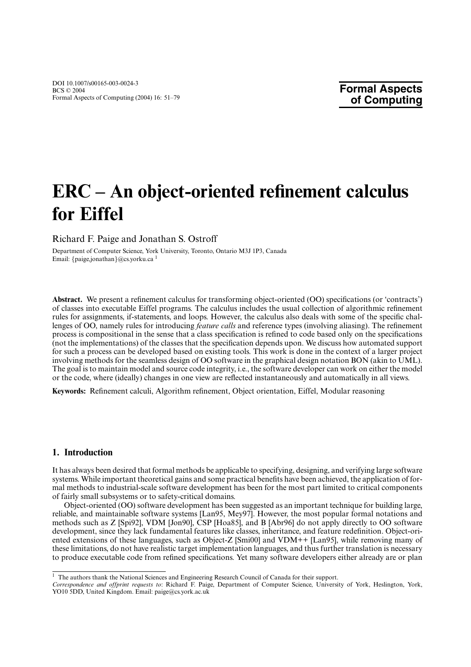# **ERC – An object-oriented refinement calculus for Eiffel**

Richard F. Paige and Jonathan S. Ostroff

Department of Computer Science, York University, Toronto, Ontario M3J 1P3, Canada Email: {paige,jonathan}@cs.yorku.ca<sup>1</sup>

**Abstract.** We present a refinement calculus for transforming object-oriented (OO) specifications (or 'contracts') of classes into executable Eiffel programs. The calculus includes the usual collection of algorithmic refinement rules for assignments, if-statements, and loops. However, the calculus also deals with some of the specific challenges of OO, namely rules for introducing *feature calls* and reference types (involving aliasing). The refinement process is compositional in the sense that a class specification is refined to code based only on the specifications (not the implementations) of the classes that the specification depends upon. We discuss how automated support for such a process can be developed based on existing tools. This work is done in the context of a larger project involving methods for the seamless design of OO software in the graphical design notation BON (akin to UML). The goal is to maintain model and source code integrity, i.e., the software developer can work on either the model or the code, where (ideally) changes in one view are reflected instantaneously and automatically in all views.

**Keywords:** Refinement calculi, Algorithm refinement, Object orientation, Eiffel, Modular reasoning

# **1. Introduction**

It has always been desired that formal methods be applicable to specifying, designing, and verifying large software systems. While important theoretical gains and some practical benefits have been achieved, the application of formal methods to industrial-scale software development has been for the most part limited to critical components of fairly small subsystems or to safety-critical domains.

Object-oriented (OO) software development has been suggested as an important technique for building large, reliable, and maintainable software systems [Lan95, Mey97]. However, the most popular formal notations and methods such as Z [Spi92], VDM [Jon90], CSP [Hoa85], and B [Abr96] do not apply directly to OO software development, since they lack fundamental features like classes, inheritance, and feature redefinition. Object-oriented extensions of these languages, such as Object-Z [Smi00] and VDM++ [Lan95], while removing many of these limitations, do not have realistic target implementation languages, and thus further translation is necessary to produce executable code from refined specifications. Yet many software developers either already are or plan

<sup>1</sup> The authors thank the National Sciences and Engineering Research Council of Canada for their support.

*Correspondence and offprint requests to*: Richard F. Paige, Department of Computer Science, University of York, Heslington, York, YO10 5DD, United Kingdom. Email: paige@cs.york.ac.uk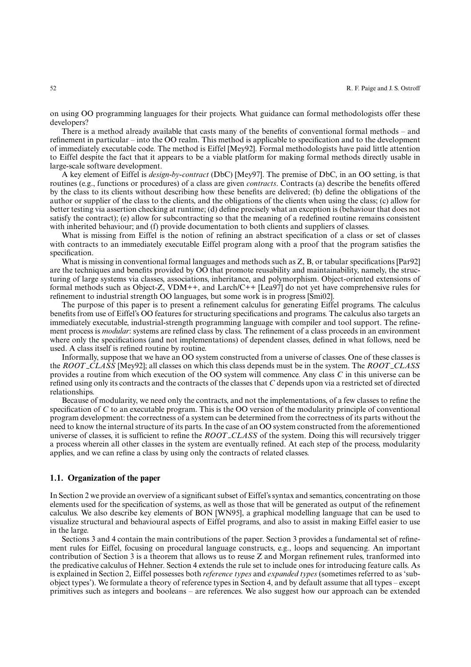on using OO programming languages for their projects. What guidance can formal methodologists offer these developers?

There is a method already available that casts many of the benefits of conventional formal methods – and refinement in particular – into the OO realm. This method is applicable to specification and to the development of immediately executable code. The method is Eiffel [Mey92]. Formal methodologists have paid little attention to Eiffel despite the fact that it appears to be a viable platform for making formal methods directly usable in large-scale software development.

A key element of Eiffel is *design-by-contract* (DbC) [Mey97]. The premise of DbC, in an OO setting, is that routines (e.g., functions or procedures) of a class are given *contracts*. Contracts (a) describe the benefits offered by the class to its clients without describing how these benefits are delivered; (b) define the obligations of the author or supplier of the class to the clients, and the obligations of the clients when using the class; (c) allow for better testing via assertion checking at runtime; (d) define precisely what an exception is (behaviour that does not satisfy the contract); (e) allow for subcontracting so that the meaning of a redefined routine remains consistent with inherited behaviour; and (f) provide documentation to both clients and suppliers of classes.

What is missing from Eiffel is the notion of refining an abstract specification of a class or set of classes with contracts to an immediately executable Eiffel program along with a proof that the program satisfies the specification.

What is missing in conventional formal languages and methods such as Z, B, or tabular specifications [Par92] are the techniques and benefits provided by OO that promote reusability and maintainability, namely, the structuring of large systems via classes, associations, inheritance, and polymorphism. Object-oriented extensions of formal methods such as Object-Z, VDM++, and Larch/C++ [Lea97] do not yet have comprehensive rules for refinement to industrial strength OO languages, but some work is in progress [Smi02].

The purpose of this paper is to present a refinement calculus for generating Eiffel programs. The calculus benefits from use of Eiffel's OO features for structuring specifications and programs. The calculus also targets an immediately executable, industrial-strength programming language with compiler and tool support. The refinement process is *modular*: systems are refined class by class. The refinement of a class proceeds in an environment where only the specifications (and not implementations) of dependent classes, defined in what follows, need be used. A class itself is refined routine by routine.

Informally, suppose that we have an OO system constructed from a universe of classes. One of these classes is the *ROOT CLASS* [Mey92]; all classes on which this class depends must be in the system. The *ROOT CLASS* provides a routine from which execution of the OO system will commence. Any class *C* in this universe can be refined using only its contracts and the contracts of the classes that *C* depends upon via a restricted set of directed relationships.

Because of modularity, we need only the contracts, and not the implementations, of a few classes to refine the specification of *C* to an executable program. This is the OO version of the modularity principle of conventional program development: the correctness of a system can be determined from the correctness of its parts without the need to know the internal structure of its parts. In the case of an OO system constructed from the aforementioned universe of classes, it is sufficient to refine the *ROOT CLASS* of the system. Doing this will recursively trigger a process wherein all other classes in the system are eventually refined. At each step of the process, modularity applies, and we can refine a class by using only the contracts of related classes.

#### **1.1. Organization of the paper**

In Section 2 we provide an overview of a significant subset of Eiffel's syntax and semantics, concentrating on those elements used for the specification of systems, as well as those that will be generated as output of the refinement calculus. We also describe key elements of BON [WN95], a graphical modelling language that can be used to visualize structural and behavioural aspects of Eiffel programs, and also to assist in making Eiffel easier to use in the large.

Sections 3 and 4 contain the main contributions of the paper. Section 3 provides a fundamental set of refinement rules for Eiffel, focusing on procedural language constructs, e.g., loops and sequencing. An important contribution of Section 3 is a theorem that allows us to reuse Z and Morgan refinement rules, tranformed into the predicative calculus of Hehner. Section 4 extends the rule set to include ones for introducing feature calls. As is explained in Section 2, Eiffel possesses both *reference types* and *expanded types* (sometimes referred to as 'subobject types'). We formulate a theory of reference types in Section 4, and by default assume that all types – except primitives such as integers and booleans – are references. We also suggest how our approach can be extended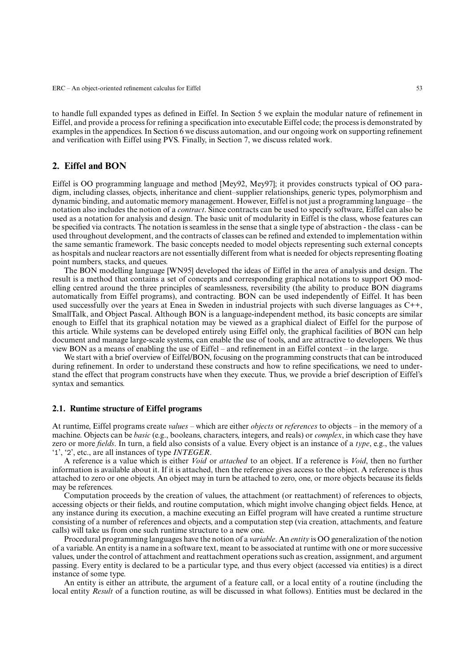to handle full expanded types as defined in Eiffel. In Section 5 we explain the modular nature of refinement in Eiffel, and provide a process for refining a specification into executable Eiffel code; the process is demonstrated by examples in the appendices. In Section 6 we discuss automation, and our ongoing work on supporting refinement and verification with Eiffel using PVS. Finally, in Section 7, we discuss related work.

## **2. Eiffel and BON**

Eiffel is OO programming language and method [Mey92, Mey97]; it provides constructs typical of OO paradigm, including classes, objects, inheritance and client–supplier relationships, generic types, polymorphism and dynamic binding, and automatic memory management. However, Eiffel is not just a programming language – the notation also includes the notion of a *contract*. Since contracts can be used to specify software, Eiffel can also be used as a notation for analysis and design. The basic unit of modularity in Eiffel is the class, whose features can be specified via contracts. The notation is seamless in the sense that a single type of abstraction - the class - can be used throughout development, and the contracts of classes can be refined and extended to implementation within the same semantic framework. The basic concepts needed to model objects representing such external concepts as hospitals and nuclear reactors are not essentially different from what is needed for objects representing floating point numbers, stacks, and queues.

The BON modelling language [WN95] developed the ideas of Eiffel in the area of analysis and design. The result is a method that contains a set of concepts and corresponding graphical notations to support OO modelling centred around the three principles of seamlessness, reversibility (the ability to produce BON diagrams automatically from Eiffel programs), and contracting. BON can be used independently of Eiffel. It has been used successfully over the years at Enea in Sweden in industrial projects with such diverse languages as C++, SmallTalk, and Object Pascal. Although BON is a language-independent method, its basic concepts are similar enough to Eiffel that its graphical notation may be viewed as a graphical dialect of Eiffel for the purpose of this article. While systems can be developed entirely using Eiffel only, the graphical facilities of BON can help document and manage large-scale systems, can enable the use of tools, and are attractive to developers. We thus view BON as a means of enabling the use of Eiffel – and refinement in an Eiffel context – in the large.

We start with a brief overview of Eiffel/BON, focusing on the programming constructs that can be introduced during refinement. In order to understand these constructs and how to refine specifications, we need to understand the effect that program constructs have when they execute. Thus, we provide a brief description of Eiffel's syntax and semantics.

#### **2.1. Runtime structure of Eiffel programs**

At runtime, Eiffel programs create *values* – which are either *objects* or *references* to objects – in the memory of a machine. Objects can be *basic* (e.g., booleans, characters, integers, and reals) or *complex*, in which case they have zero or more *fields*. In turn, a field also consists of a value. Every object is an instance of a *type*, e.g., the values '1', '2', etc., are all instances of type *INTEGER*.

A reference is a value which is either *Void* or *attached* to an object. If a reference is *Void*, then no further information is available about it. If it is attached, then the reference gives access to the object. A reference is thus attached to zero or one objects. An object may in turn be attached to zero, one, or more objects because its fields may be references.

Computation proceeds by the creation of values, the attachment (or reattachment) of references to objects, accessing objects or their fields, and routine computation, which might involve changing object fields. Hence, at any instance during its execution, a machine executing an Eiffel program will have created a runtime structure consisting of a number of references and objects, and a computation step (via creation, attachments, and feature calls) will take us from one such runtime structure to a new one.

Procedural programming languages have the notion of a *variable*. An *entity* is OO generalization of the notion of a variable. An entity is a name in a software text, meant to be associated at runtime with one or more successive values, under the control of attachment and reattachment operations such as creation, assignment, and argument passing. Every entity is declared to be a particular type, and thus every object (accessed via entities) is a direct instance of some type.

An entity is either an attribute, the argument of a feature call, or a local entity of a routine (including the local entity *Result* of a function routine, as will be discussed in what follows). Entities must be declared in the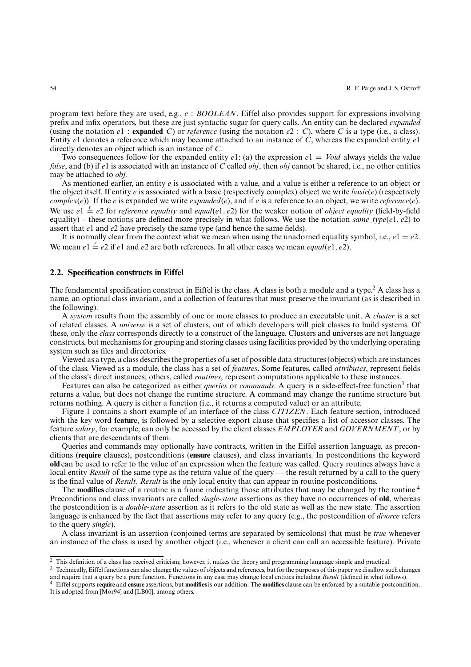program text before they are used, e.g., *e* : *BOOLEAN*. Eiffel also provides support for expressions involving prefix and infix operators, but these are just syntactic sugar for query calls. An entity can be declared *expanded* (using the notation  $e1$ : **expanded** *C*) or *reference* (using the notation  $e2$ : *C*), where *C* is a type (i.e., a class). Entity *e*1 denotes a reference which may become attached to an instance of *C*, whereas the expanded entity *e*1 directly denotes an object which is an instance of *C*.

Two consequences follow for the expanded entity  $e1$ : (a) the expression  $e1 = V \text{oid}$  always yields the value *false*, and (b) if *e*1 is associated with an instance of *C* called *obj*, then *obj* cannot be shared, i.e., no other entities may be attached to *obj*.

As mentioned earlier, an entity *e* is associated with a value, and a value is either a reference to an object or the object itself. If entity *e* is associated with a basic (respectively complex) object we write *basic*(*e*) (respectively *complex(e)).* If the *e* is expanded we write *expanded*(*e*), and if *e* is a reference to an object, we write *reference*(*e*). We use  $e_1 \stackrel{r}{=} e_2$  for *reference equality* and *equal(e1, e2)* for the weaker notion of *object equality* (field-by-field equality) – these notions are defined more precisely in what follows. We use the notation *same type*(*e*1, *e*2) to assert that *e*1 and *e*2 have precisely the same type (and hence the same fields).

It is normally clear from the context what we mean when using the unadorned equality symbol, i.e.,  $e1 = e2$ . We mean  $e1 \stackrel{r}{=} e2$  if  $e1$  and  $e2$  are both references. In all other cases we mean  $equal(e1, e2)$ .

## **2.2. Specification constructs in Eiffel**

The fundamental specification construct in Eiffel is the class. A class is both a module and a type.<sup>2</sup> A class has a name, an optional class invariant, and a collection of features that must preserve the invariant (as is described in the following).

A *system* results from the assembly of one or more classes to produce an executable unit. A *cluster* is a set of related classes. A *universe* is a set of clusters, out of which developers will pick classes to build systems. Of these, only the *class* corresponds directly to a construct of the language. Clusters and universes are not language constructs, but mechanisms for grouping and storing classes using facilities provided by the underlying operating system such as files and directories.

Viewed as a type, a class describes the properties of a set of possible data structures (objects) which are instances of the class. Viewed as a module, the class has a set of *features*. Some features, called *attributes*, represent fields of the class's direct instances; others, called *routines*, represent computations applicable to these instances.

Features can also be categorized as either *queries* or *commands*. A query is a side-effect-free function<sup>3</sup> that returns a value, but does not change the runtime structure. A command may change the runtime structure but returns nothing. A query is either a function (i.e., it returns a computed value) or an attribute.

Figure 1 contains a short example of an interface of the class *CITIZEN*. Each feature section, introduced with the key word **feature**, is followed by a selective export clause that specifies a list of accessor classes. The feature *salary*, for example, can only be accessed by the client classes *EMPLOYER* and *GOVERNMENT*, or by clients that are descendants of them.

Queries and commands may optionally have contracts, written in the Eiffel assertion language, as preconditions (**require** clauses), postconditions (**ensure** clauses), and class invariants. In postconditions the keyword **old** can be used to refer to the value of an expression when the feature was called. Query routines always have a local entity *Result* of the same type as the return value of the query — the result returned by a call to the query is the final value of *Result*. *Result* is the only local entity that can appear in routine postconditions.

The **modifies** clause of a routine is a frame indicating those attributes that may be changed by the routine.<sup>4</sup> Preconditions and class invariants are called *single-state* assertions as they have no occurrences of **old**, whereas the postcondition is a *double-state* assertion as it refers to the old state as well as the new state. The assertion language is enhanced by the fact that assertions may refer to any query (e.g., the postcondition of *divorce* refers to the query *single*).

A class invariant is an assertion (conjoined terms are separated by semicolons) that must be *true* whenever an instance of the class is used by another object (i.e., whenever a client can call an accessible feature). Private

 $\frac{2}{3}$  This definition of a class has received criticism; however, it makes the theory and programming language simple and practical.

<sup>&</sup>lt;sup>3</sup> Technically, Eiffel functions can also change the values of objects and references, but for the purposes of this paper we disallow such changes and require that a query be a pure function. Functions in any case may change local entities including *Result* (defined in what follows).

<sup>4</sup> Eiffel supports **require** and **ensure** assertions, but **modifies**is our addition. The **modifies** clause can be enforced by a suitable postcondition. It is adopted from [Mor94] and [LB00], among others.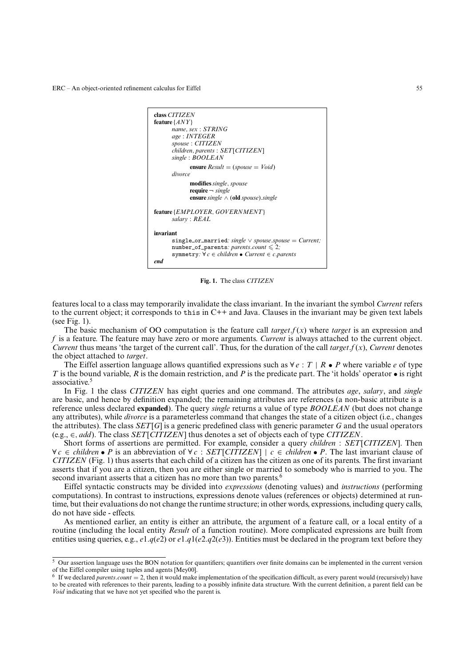```
class CITIZEN
feature {ANY}
      name,sex : STRING
      age : INTEGER
      spouse : CITIZEN
      children, parents : SET[CITIZEN]
      single : BOOLEAN
            ensure Result = (spouse = Void)divorce
            modifiessingle,spouse
            require ¬ single
            ensure single ∧ (old spouse).single
feature {EMPLOYER, GOVERNMENT}
      salary : REAL
invariant
      single_or_married: single \vee pouse \text{.} pouse = Current;number_of_parents: parents.count \leq 2;
      symmetry: ∀ c ∈ children • Current ∈ c.parents
end
```
**Fig. 1.** The class *CITIZEN*

features local to a class may temporarily invalidate the class invariant. In the invariant the symbol *Current* refers to the current object; it corresponds to this in C++ and Java. Clauses in the invariant may be given text labels (see Fig. 1).

The basic mechanism of OO computation is the feature call *target*. $f(x)$  where *target* is an expression and *f* is a feature. The feature may have zero or more arguments. *Current* is always attached to the current object. *Current* thus means 'the target of the current call'. Thus, for the duration of the call *target*.*f* (*x*), *Current* denotes the object attached to *target*.

The Eiffel assertion language allows quantified expressions such as ∀*e* : *T* | *R* • *P* where variable *e* of type *T* is the bound variable, *R* is the domain restriction, and *P* is the predicate part. The 'it holds' operator • is right associative.<sup>5</sup>

In Fig. 1 the class *CITIZEN* has eight queries and one command. The attributes *age*, *salary*, and *single* are basic, and hence by definition expanded; the remaining attributes are references (a non-basic attribute is a reference unless declared **expanded**). The query *single* returns a value of type *BOOLEAN* (but does not change any attributes), while *divorce* is a parameterless command that changes the state of a citizen object (i.e., changes the attributes). The class *SET*[*G*] is a generic predefined class with generic parameter *G* and the usual operators (e.g., ∈, *add*). The class *SET*[*CITIZEN*] thus denotes a set of objects each of type *CITIZEN*.

Short forms of assertions are permitted. For example, consider a query *children* : *SET*[*CITIZEN*]. Then ∀ *c* ∈ *children* • *P* is an abbreviation of ∀ *c* : *SET*[*CITIZEN*] | *c* ∈ *children* • *P*. The last invariant clause of *CITIZEN* (Fig. 1) thus asserts that each child of a citizen has the citizen as one of its parents. The first invariant asserts that if you are a citizen, then you are either single or married to somebody who is married to you. The second invariant asserts that a citizen has no more than two parents.<sup>6</sup>

Eiffel syntactic constructs may be divided into *expressions* (denoting values) and *instructions* (performing computations). In contrast to instructions, expressions denote values (references or objects) determined at runtime, but their evaluations do not change the runtime structure; in other words, expressions, including query calls, do not have side - effects.

As mentioned earlier, an entity is either an attribute, the argument of a feature call, or a local entity of a routine (including the local entity *Result* of a function routine). More complicated expressions are built from entities using queries, e.g.,  $e1. q(e2)$  or  $e1. q1(e2. q2(e3))$ . Entities must be declared in the program text before they

 $\frac{1}{5}$  Our assertion language uses the BON notation for quantifiers; quantifiers over finite domains can be implemented in the current version of the Eiffel compiler using tuples and agents [Mey00].

 $6\text{ If we declared } parents.count = 2, then it would make implementation of the specification difficult, as every parent would (recursively) have$ to be created with references to their parents, leading to a possibly infinite data structure. With the current definition, a parent field can be *Void* indicating that we have not yet specified who the parent is.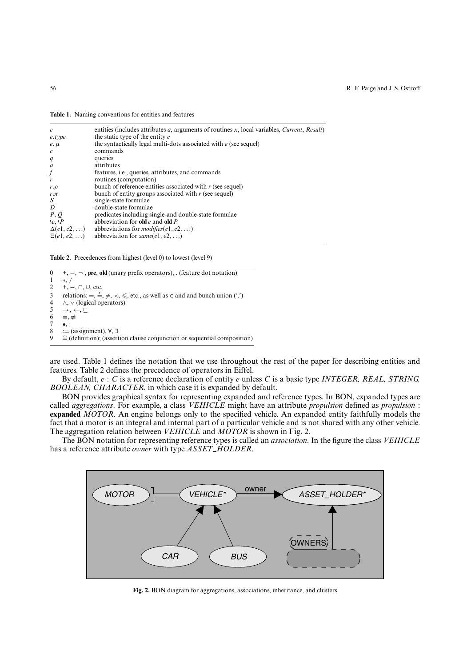| $\epsilon$<br>e.type     | entities (includes attributes a, arguments of routines x, local variables, Current, Result)<br>the static type of the entity e |
|--------------------------|--------------------------------------------------------------------------------------------------------------------------------|
| $e.\mu$                  | the syntactically legal multi-dots associated with $e$ (see sequel)                                                            |
| $\mathcal{C}$            | commands                                                                                                                       |
| q                        | queries                                                                                                                        |
| a                        | attributes                                                                                                                     |
| $\boldsymbol{f}$         | features, <i>i.e.</i> , queries, attributes, and commands                                                                      |
| r                        | routines (computation)                                                                                                         |
| $r.\rho$                 | bunch of reference entities associated with $r$ (see sequel)                                                                   |
| $r.\pi$                  | bunch of entity groups associated with $r$ (see sequel)                                                                        |
| S                        | single-state formulae                                                                                                          |
| D                        | double-state formulae                                                                                                          |
| P, Q                     | predicates including single-and double-state formulae                                                                          |
| $\vee e, \vee P$         | abbreviation for old $e$ and old $P$                                                                                           |
| $\Delta(e1, e2, \ldots)$ | abbreviations for <i>modifies</i> (el. e2, )                                                                                   |
| $\Xi(e1, e2, \ldots)$    | abbreviation for $\mathit{same}(e1, e2, \ldots)$                                                                               |

**Table 1.** Naming conventions for entities and features

**Table 2.** Precedences from highest (level 0) to lowest (level 9)

```
0 +, −, ¬ , pre, old (unary prefix operators), . (feature dot notation)
1 ∗, /
2 +, -, \cap, \cup, etc.
3 relations: =, \frac{r}{r}, \neq, \lt, \lt, etc., as well as \in and and bunch union ('.')
4 \wedge, \vee (logical operators)<br>5 \rightarrow, \leftarrow, \sqsubseteq5 \rightarrow +, \leftarrow, \sqsubseteq<br>
6 \equiv, \neq\equiv, \neq\begin{array}{cc} 7 & \bullet, | \\ 8 & := \end{array}8 := (assignment), \forall, \exists<br>9 \hat{=} (definition): (assert
       \hat{=} (definition); (assertion clause conjunction or sequential composition)
```
are used. Table 1 defines the notation that we use throughout the rest of the paper for describing entities and features. Table 2 defines the precedence of operators in Eiffel.

By default, *e* : *C* is a reference declaration of entity *e* unless *C* is a basic type *INTEGER, REAL, STRING, BOOLEAN, CHARACTER*, in which case it is expanded by default.

BON provides graphical syntax for representing expanded and reference types. In BON, expanded types are called *aggregations*. For example, a class *VEHICLE* might have an attribute *propulsion* defined as *propulsion* : **expanded** *MOTOR*. An engine belongs only to the specified vehicle. An expanded entity faithfully models the fact that a motor is an integral and internal part of a particular vehicle and is not shared with any other vehicle. The aggregation relation between *VEHICLE* and *MOTOR* is shown in Fig. 2.

The BON notation for representing reference types is called an *association*. In the figure the class *VEHICLE* has a reference attribute *owner* with type *ASSET HOLDER*.



**Fig. 2.** BON diagram for aggregations, associations, inheritance, and clusters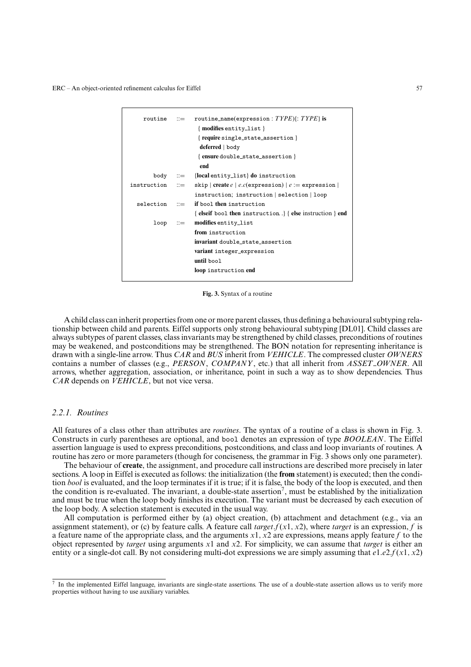| $\texttt{routine}$ ::= |                       | routine_name(expression: $TYPE$ ){: $TYPE$ } is            |
|------------------------|-----------------------|------------------------------------------------------------|
|                        |                       | $\{$ modifies entity_list $\}$                             |
|                        |                       | { require single_state_assertion }                         |
|                        |                       | deferred   body                                            |
|                        |                       | { ensure double_state_assertion }                          |
|                        |                       | end                                                        |
|                        | body ∷=               | {local entity_list} do instruction                         |
| instruction ::=        |                       | skip $ create\ e\   \ e.c(expression)   e := expression  $ |
|                        |                       | instruction; instruction   selection   loop                |
| $selection$ $::=$      |                       | if bool then instruction                                   |
|                        |                       | {elseif bool then instruction.} {else instruction } end    |
| loop                   | $\mathrel{\mathop:}=$ | modifies entity_list                                       |
|                        |                       | from instruction                                           |
|                        |                       | invariant double_state_assertion                           |
|                        |                       | variant integer_expression                                 |
|                        |                       | until bool                                                 |
|                        |                       | loop instruction end                                       |
|                        |                       |                                                            |

**Fig. 3.** Syntax of a routine

A child class can inherit properties from one or more parent classes, thus defining a behavioural subtyping relationship between child and parents. Eiffel supports only strong behavioural subtyping [DL01]. Child classes are always subtypes of parent classes, class invariants may be strengthened by child classes, preconditions of routines may be weakened, and postconditions may be strengthened. The BON notation for representing inheritance is drawn with a single-line arrow. Thus *CAR* and *BUS* inherit from *VEHICLE*. The compressed cluster *OWNERS* contains a number of classes (e.g., *PERSON*, *COMPANY*, etc.) that all inherit from *ASSET OWNER*. All arrows, whether aggregation, association, or inheritance, point in such a way as to show dependencies. Thus *CAR* depends on *VEHICLE*, but not vice versa.

### *2.2.1. Routines*

All features of a class other than attributes are *routines*. The syntax of a routine of a class is shown in Fig. 3. Constructs in curly parentheses are optional, and bool denotes an expression of type *BOOLEAN*. The Eiffel assertion language is used to express preconditions, postconditions, and class and loop invariants of routines. A routine has zero or more parameters (though for conciseness, the grammar in Fig. 3 shows only one parameter).

The behaviour of **create**, the assignment, and procedure call instructions are described more precisely in later sections. A loop in Eiffel is executed as follows: the initialization (the **from** statement) is executed; then the condition *bool* is evaluated, and the loop terminates if it is true; if it is false, the body of the loop is executed, and then the condition is re-evaluated. The invariant, a double-state assertion<sup>7</sup>, must be established by the initialization and must be true when the loop body finishes its execution. The variant must be decreased by each execution of the loop body. A selection statement is executed in the usual way.

All computation is performed either by (a) object creation, (b) attachment and detachment (e.g., via an assignment statement), or (c) by feature calls. A feature call *target*. $f(x1, x2)$ , where *target* is an expression, *f* is a feature name of the appropriate class, and the arguments *x*1, *x*2 are expressions, means apply feature *f* to the object represented by *target* using arguments *x*1 and *x*2. For simplicity, we can assume that *target* is either an entity or a single-dot call. By not considering multi-dot expressions we are simply assuming that *e*1.*e*2.*f* (*x*1, *x*2)

<sup>&</sup>lt;sup>7</sup> In the implemented Eiffel language, invariants are single-state assertions. The use of a double-state assertion allows us to verify more properties without having to use auxiliary variables.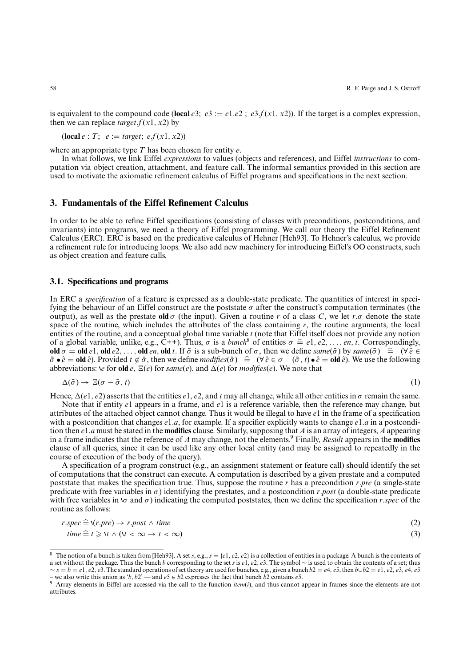is equivalent to the compound code (local *e*3;  $e$ 3 :=  $e$ 1.*e*2;  $e$ 3.*f*(*x*1, *x*2)). If the target is a complex expression, then we can replace *target*.*f* (*x*1, *x*2) by

(**local**  $e : T$ ;  $e := target$ ;  $e.f(x1, x2)$ )

where an appropriate type *T* has been chosen for entity *e*.

In what follows, we link Eiffel *expressions* to values (objects and references), and Eiffel *instructions* to computation via object creation, attachment, and feature call. The informal semantics provided in this section are used to motivate the axiomatic refinement calculus of Eiffel programs and specifications in the next section.

# **3. Fundamentals of the Eiffel Refinement Calculus**

In order to be able to refine Eiffel specifications (consisting of classes with preconditions, postconditions, and invariants) into programs, we need a theory of Eiffel programming. We call our theory the Eiffel Refinement Calculus (ERC). ERC is based on the predicative calculus of Hehner [Heh93]. To Hehner's calculus, we provide a refinement rule for introducing loops. We also add new machinery for introducing Eiffel's OO constructs, such as object creation and feature calls.

#### **3.1. Specifications and programs**

In ERC a *specification* of a feature is expressed as a double-state predicate. The quantities of interest in specifying the behaviour of an Eiffel construct are the poststate  $\sigma$  after the construct's computation terminates (the output), as well as the prestate **old** σ (the input). Given a routine *r* of a class *C*, we let *r*.σ denote the state space of the routine, which includes the attributes of the class containing *r*, the routine arguments, the local entities of the routine, and a conceptual global time variable *t* (note that Eiffel itself does not provide any notion of a global variable, unlike, e.g.,  $\hat{C}$ ++). Thus,  $\sigma$  is a *bunch*<sup>8</sup> of entities  $\sigma \cong e_1, e_2, \ldots, e_n$ , *t*. Correspondingly, **old**  $\sigma =$  **old**  $e1$ , **old**  $e2$ ,..., **old**  $e\eta$ , **old**  $t$ . If  $\bar{\sigma}$  is a sub-bunch of  $\sigma$ , then we define  $\text{same}(\bar{\sigma})$  by  $\text{same}(\bar{\sigma}) \cong (\forall \bar{e} \in$  $\bar{\sigma} \bullet \hat{e} = \text{old } \hat{e}$ ). Provided  $t \notin \bar{\sigma}$ , then we define *modifies*( $\bar{\sigma}$ )  $\hat{e} = (\forall \hat{e} \in \sigma - (\bar{\sigma}, t) \bullet \hat{e} = \text{old } \hat{e})$ . We use the following abbreviations: *Le* for **old**  $e$ ,  $\Xi(e)$  for *same*( $e$ ), and  $\Delta(e)$  for *modifies*( $e$ ). We note that

$$
\Delta(\bar{\sigma}) \to \Xi(\sigma - \bar{\sigma}, t) \tag{1}
$$

Hence,  $\Delta(e1, e2)$  asserts that the entities *e*1, *e2*, and *t* may all change, while all other entities in  $\sigma$  remain the same.

Note that if entity *e*1 appears in a frame, and *e*1 is a reference variable, then the reference may change, but attributes of the attached object cannot change. Thus it would be illegal to have *e*1 in the frame of a specification with a postcondition that changes *e*1.*a*, for example. If a specifier explicitly wants to change *e*1.*a* in a postcondition then *e*1.*a* must be stated in the **modifies** clause. Similarly, supposing that *A* is an array of integers, *A* appearing in a frame indicates that the reference of *A* may change, not the elements.<sup>9</sup> Finally, *Result* appears in the **modifies** clause of all queries, since it can be used like any other local entity (and may be assigned to repeatedly in the course of execution of the body of the query).

A specification of a program construct (e.g., an assignment statement or feature call) should identify the set of computations that the construct can execute. A computation is described by a given prestate and a computed poststate that makes the specification true. Thus, suppose the routine *r* has a precondition *r*.*pre* (a single-state predicate with free variables in σ) identifying the prestates, and a postcondition *r*.*post* (a double-state predicate with free variables in  $\sigma$  and  $\sigma$ ) indicating the computed poststates, then we define the specification *r*.*spec* of the routine as follows:

$$
r\text{.spec} \widehat{=} \mathcal{N}(r\text{.pre}) \to r\text{.post} \land \text{time} \tag{2}
$$

$$
time \hat{=} t \geq \forall t \land (\forall t < \infty \to t < \infty) \tag{3}
$$

<sup>&</sup>lt;sup>8</sup> The notion of a bunch is taken from [Heh93]. A set *s*, e.g.,  $s = \{e1, e2, e2\}$  is a collection of entities in a package. A bunch is the contents of a set without the package. Thus the bunch *b* corresponding to the set *s* is *e*1, *e*2, *e*3. The symbol ∼ is used to obtain the contents of a set; thus  $\sim s = b = e1, e2, e3$ . The standard operations of set theory are used for bunches, e.g., given a bunch  $b2 = e4, e5$ , then  $b\cup b2 = e1, e2, e3, e4, e5$ – we also write this union as '*b*, *b*2' — and *e*5 ∈ *b*2 expresses the fact that bunch *b*2 contains *e*5.

<sup>&</sup>lt;sup>9</sup> Array elements in Eiffel are accessed via the call to the function *item*(*i*), and thus cannot appear in frames since the elements are not attributes.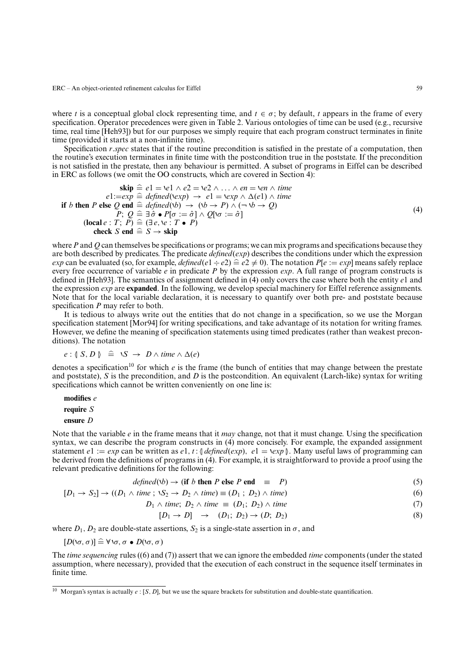where *t* is a conceptual global clock representing time, and  $t \in \sigma$ ; by default, *t* appears in the frame of every specification. Operator precedences were given in Table 2. Various ontologies of time can be used (e.g., recursive time, real time [Heh93]) but for our purposes we simply require that each program construct terminates in finite time (provided it starts at a non-infinite time).

Specification *r*.*spec* states that if the routine precondition is satisfied in the prestate of a computation, then the routine's execution terminates in finite time with the postcondition true in the poststate. If the precondition is not satisfied in the prestate, then any behaviour is permitted. A subset of programs in Eiffel can be described in ERC as follows (we omit the OO constructs, which are covered in Section 4):

$$
\text{skip} \hat{=} e1 = \text{ve1} \land e2 = \text{ve2} \land \dots \land en = \text{ven} \land \text{time}
$$
\n
$$
e1 := \exp \hat{=} \text{ defined}(\text{exp}) \rightarrow e1 = \text{exp} \land \Delta(e1) \land \text{time}
$$
\n
$$
\text{if } b \text{ then } P \text{ else } Q \text{ end } \hat{=} \text{ defined}(\text{bb}) \rightarrow (\text{bb} \rightarrow P) \land (\neg \text{bb} \rightarrow Q)
$$
\n
$$
P; Q \hat{=} \exists \hat{\sigma} \bullet P[\sigma := \hat{\sigma}] \land Q[\text{for} := \hat{\sigma}]
$$
\n
$$
(\text{local } e : T; P) \hat{=} (\exists e, \text{ve} : T \bullet P) \quad \text{check } S \text{ end } \hat{=} S \rightarrow \text{skip} \tag{4}
$$

where*P* and *Q* can themselves be specifications or programs; we can mix programs and specifications because they are both described by predicates. The predicate *defined*(*exp*) describes the conditions under which the expression *exp* can be evaluated (so, for example, *defined*( $e1 \div e2$ )  $\cong e2 \neq 0$ ). The notation  $P[e := exp]$  means safely replace every free occurrence of variable *e* in predicate *P* by the expression *exp*. A full range of program constructs is defined in [Heh93]. The semantics of assignment defined in (4) only covers the case where both the entity *e*1 and the expression *exp* are **expanded**. In the following, we develop special machinery for Eiffel reference assignments. Note that for the local variable declaration, it is necessary to quantify over both pre- and poststate because specification *P* may refer to both.

It is tedious to always write out the entities that do not change in a specification, so we use the Morgan specification statement [Mor94] for writing specifications, and take advantage of its notation for writing frames. However, we define the meaning of specification statements using timed predicates (rather than weakest preconditions). The notation

$$
e: \langle S, D \rangle \cong \langle S \rangle \rightarrow D \wedge \text{time} \wedge \Delta(e)
$$

denotes a specification<sup>10</sup> for which *e* is the frame (the bunch of entities that may change between the prestate and poststate), *S* is the precondition, and *D* is the postcondition. An equivalent (Larch-like) syntax for writing specifications which cannot be written conveniently on one line is:

**modifies** *e* **require** *S* **ensure** *D*

Note that the variable *e* in the frame means that it *may* change, not that it must change. Using the specification syntax, we can describe the program constructs in (4) more concisely. For example, the expanded assignment statement  $e_1 := exp$  can be written as  $e_1, t : \{ defined(exp), e_1 = \exp \}$ . Many useful laws of programming can be derived from the definitions of programs in (4). For example, it is straightforward to provide a proof using the relevant predicative definitions for the following:

$$
defined(\forall b) \rightarrow (\text{if } b \text{ then } P \text{ else } P \text{ end } \equiv P)
$$
 (5)

$$
[D_1 \to S_2] \to ((D_1 \land \text{time} \; ; \; \text{V}_2 \to D_2 \land \text{time}) \equiv (D_1 \; ; \; D_2) \land \text{time}) \tag{6}
$$

$$
D_1 \wedge \text{ time}; \ D_2 \wedge \text{ time} \equiv (D_1; \ D_2) \wedge \text{ time} \tag{7}
$$

$$
[D_1 \to D] \to (D_1; D_2) \to (D; D_2) \tag{8}
$$

where  $D_1$ ,  $D_2$  are double-state assertions,  $S_2$  is a single-state assertion in  $\sigma$ , and

 $[D(\forall \sigma, \sigma)] \triangleq \forall \forall \sigma, \sigma \bullet D(\forall \sigma, \sigma)$ 

The *time sequencing* rules ((6) and (7)) assert that we can ignore the embedded *time* components (under the stated assumption, where necessary), provided that the execution of each construct in the sequence itself terminates in finite time.

<sup>&</sup>lt;sup>10</sup> Morgan's syntax is actually *e* : [*S*, *D*], but we use the square brackets for substitution and double-state quantification.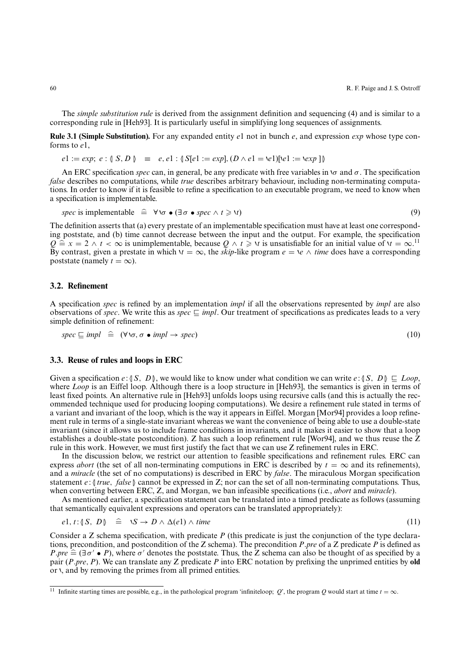The *simple substitution rule* is derived from the assignment definition and sequencing (4) and is similar to a corresponding rule in [Heh93]. It is particularly useful in simplifying long sequences of assignments.

**Rule 3.1 (Simple Substitution).** For any expanded entity *e*1 not in bunch *e*, and expression *exp* whose type conforms to *e*1,

 $e1 := exp; e: \{ S, D \} = e, e1: \{ S[e1 := exp], (D \wedge e1 = \text{Re1})[\text{Re1} := \text{Im1} \}$ 

An ERC specification *spec* can, in general, be any predicate with free variables in  $\sigma$  and  $\sigma$ . The specification *false* describes no computations, while *true* describes arbitrary behaviour, including non-terminating computations. In order to know if it is feasible to refine a specification to an executable program, we need to know when a specification is implementable.

$$
spec \text{ is implementable } \hat{=} \forall \forall \sigma \bullet (\exists \sigma \bullet spec \land t \geq \forall t)
$$
\n(9)

The definition asserts that (a) every prestate of an implementable specification must have at least one corresponding poststate, and (b) time cannot decrease between the input and the output. For example, the specification  $Q \triangleq x = 2 \wedge t < \infty$  is unimplementable, because  $Q \wedge t \geq 0$  is unsatisfiable for an initial value of  $v = \infty$ .<sup>11</sup> By contrast, given a prestate in which  $t = \infty$ , the *skip*-like program  $e = \lambda e \wedge \text{time}$  does have a corresponding poststate (namely  $t = \infty$ ).

## **3.2. Refinement**

A specification *spec* is refined by an implementation *impl* if all the observations represented by *impl* are also observations of *spec*. We write this as *spec*  $\sqsubset$  *impl*. Our treatment of specifications as predicates leads to a very simple definition of refinement:

$$
spec \sqsubseteq impl \quad \widehat{=} \quad (\forall \forall \sigma, \sigma \bullet impl \rightarrow spec) \tag{10}
$$

#### **3.3. Reuse of rules and loops in ERC**

Given a specification  $e: \{S, D\}$ , we would like to know under what condition we can write  $e: \{S, D\} \subseteq Loop$ , where *Loop* is an Eiffel loop. Although there is a loop structure in [Heh93], the semantics is given in terms of least fixed points. An alternative rule in [Heh93] unfolds loops using recursive calls (and this is actually the recommended technique used for producing looping computations). We desire a refinement rule stated in terms of a variant and invariant of the loop, which is the way it appears in Eiffel. Morgan [Mor94] provides a loop refinement rule in terms of a single-state invariant whereas we want the convenience of being able to use a double-state invariant (since it allows us to include frame conditions in invariants, and it makes it easier to show that a loop establishes a double-state postcondition). Z has such a loop refinement rule [Wor94], and we thus reuse the Z rule in this work. However, we must first justify the fact that we can use Z refinement rules in ERC.

In the discussion below, we restrict our attention to feasible specifications and refinement rules. ERC can express *abort* (the set of all non-terminating computions in ERC is described by  $t = \infty$  and its refinements), and a *miracle* (the set of no computations) is described in ERC by *false*. The miraculous Morgan specification statement  $e : \langle \text{true}, \text{false} \rangle$  cannot be expressed in Z; nor can the set of all non-terminating computations. Thus, when converting between ERC, Z, and Morgan, we ban infeasible specifications (i.e., *abort* and *miracle*).

As mentioned earlier, a specification statement can be translated into a timed predicate as follows (assuming that semantically equivalent expressions and operators can be translated appropriately):

$$
e1, t: \langle S, D \rangle \quad \widehat{=} \quad \ \ \backslash S \rightarrow D \land \Delta(e1) \land \ \ time \tag{11}
$$

Consider a Z schema specification, with predicate *P* (this predicate is just the conjunction of the type declarations, precondition, and postcondition of the Z schema). The precondition *P*.*pre* of a Z predicate *P* is defined as *P.pre*  $\cong$  (∃ $\sigma'$  • *P*), where  $\sigma'$  denotes the poststate. Thus, the Z schema can also be thought of as specified by a pair (*P*.*pre*,*P*). We can translate any Z predicate *P* into ERC notation by prefixing the unprimed entities by **old** or  $\lambda$ , and by removing the primes from all primed entities.

<sup>&</sup>lt;sup>11</sup> Infinite starting times are possible, e.g., in the pathological program 'infiniteloop;  $Q$ ', the program  $Q$  would start at time  $t = \infty$ .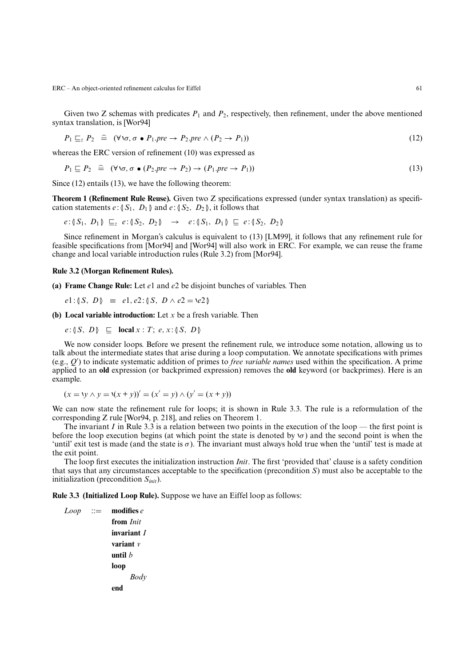Given two Z schemas with predicates  $P_1$  and  $P_2$ , respectively, then refinement, under the above mentioned syntax translation, is [Wor94]

$$
P_1 \sqsubseteq_z P_2 \cong (\forall \forall \sigma, \sigma \bullet P_1 \text{.pre} \to P_2 \text{.pre} \land (P_2 \to P_1))
$$
\n
$$
(12)
$$

whereas the ERC version of refinement (10) was expressed as

$$
P_1 \sqsubseteq P_2 \cong (\forall \forall \sigma, \sigma \bullet (P_2 \cdot pre \rightarrow P_2) \rightarrow (P_1 \cdot pre \rightarrow P_1))
$$
\n
$$
(13)
$$

Since (12) entails (13), we have the following theorem:

**Theorem 1 (Refinement Rule Reuse).** Given two Z specifications expressed (under syntax translation) as specification statements  $e: \{S_1, D_1\}$  and  $e: \{S_2, D_2\}$ , it follows that

$$
e: \langle S_1, D_1 \rangle \subseteq_z e: \langle S_2, D_2 \rangle \rightarrow e: \langle S_1, D_1 \rangle \subseteq e: \langle S_2, D_2 \rangle
$$

Since refinement in Morgan's calculus is equivalent to (13) [LM99], it follows that any refinement rule for feasible specifications from [Mor94] and [Wor94] will also work in ERC. For example, we can reuse the frame change and local variable introduction rules (Rule 3.2) from [Mor94].

#### **Rule 3.2 (Morgan Refinement Rules).**

**(a) Frame Change Rule:** Let *e*1 and *e*2 be disjoint bunches of variables. Then

$$
e1: \langle S, D \rangle \equiv e1, e2: \langle S, D \wedge e2 = e2 \rangle
$$

**(b) Local variable introduction:** Let *x* be a fresh variable. Then

 $e: \{S, D\} \subseteq \text{local } x: T; e, x: \{S, D\}$ 

We now consider loops. Before we present the refinement rule, we introduce some notation, allowing us to talk about the intermediate states that arise during a loop computation. We annotate specifications with primes (e.g., *Q* ) to indicate systematic addition of primes to *free variable names* used within the specification. A prime applied to an **old** expression (or backprimed expression) removes the **old** keyword (or backprimes). Here is an example.

$$
(x = y \land y = x(x + y))' = (x' = y) \land (y' = (x + y))
$$

We can now state the refinement rule for loops; it is shown in Rule 3.3. The rule is a reformulation of the corresponding Z rule [Wor94, p. 218], and relies on Theorem 1.

The invariant *I* in Rule 3.3 is a relation between two points in the execution of the loop — the first point is before the loop execution begins (at which point the state is denoted by  $\sigma$ ) and the second point is when the 'until' exit test is made (and the state is  $\sigma$ ). The invariant must always hold true when the 'until' test is made at the exit point.

The loop first executes the initialization instruction *Init*. The first 'provided that' clause is a safety condition that says that any circumstances acceptable to the specification (precondition *S*) must also be acceptable to the initialization (precondition *Sinit*).

**Rule 3.3 (Initialized Loop Rule).** Suppose we have an Eiffel loop as follows:

| Loop             | ::= <b>modifies</b> $e$ |
|------------------|-------------------------|
| from <i>Init</i> |                         |
| invariant I      |                         |
| variant v        |                         |
| until b          |                         |
| loop             |                         |
| Body             |                         |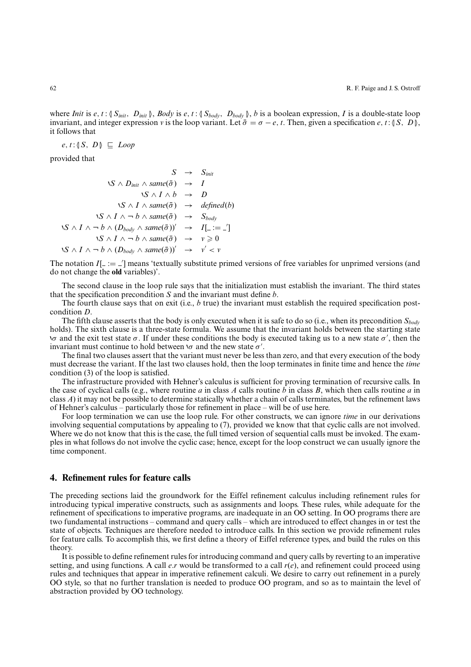where *Init* is  $e, t : \{ S_{init}, D_{init} \}$ , *Body* is  $e, t : \{ S_{body}, D_{body} \}$ , *b* is a boolean expression, *I* is a double-state loop invariant, and integer expression *v* is the loop variant. Let  $\bar{\sigma} = \sigma - e$ , *t*. Then, given a specification *e*, *t*:  $\int S$ , *D* $\bar{b}$ , it follows that

$$
e, t: \{S, D\} \subseteq Loop
$$

provided that

$$
S \rightarrow S_{init}
$$
\n
$$
\begin{array}{rcl}\n S & \rightarrow & S_{init} \\
 \downarrow S \land D_{init} \land same(\bar{\sigma}) & \rightarrow & I \\
 \downarrow S \land I \land b & \rightarrow & D \\
 \downarrow S \land I \land same(\bar{\sigma}) & \rightarrow & defined(b) \\
 \downarrow S \land I \land \neg b \land same(\bar{\sigma}) & \rightarrow & S_{body} \\
 \downarrow S \land I \land \neg b \land (D_{body} \land same(\bar{\sigma}))' & \rightarrow & I[-:=-'] \\
 \downarrow S \land I \land \neg b \land same(\bar{\sigma}) & \rightarrow & v \geq 0 \\
 \downarrow S \land I \land \neg b \land (D_{body} \land same(\bar{\sigma}))' & \rightarrow & v' < v\n \end{array}
$$

The notation  $I[\ ]\ :=\ ]$  means 'textually substitute primed versions of free variables for unprimed versions (and do not change the **old** variables)'.

The second clause in the loop rule says that the initialization must establish the invariant. The third states that the specification precondition *S* and the invariant must define *b*.

The fourth clause says that on exit (i.e., *b* true) the invariant must establish the required specification postcondition *D*.

The fifth clause asserts that the body is only executed when it is safe to do so (i.e., when its precondition *Sbody* holds). The sixth clause is a three-state formula. We assume that the invariant holds between the starting state  $\sigma$  and the exit test state  $\sigma$ . If under these conditions the body is executed taking us to a new state  $\sigma'$ , then the invariant must continue to hold between  $\sigma$  and the new state  $\sigma'$ .

The final two clauses assert that the variant must never be less than zero, and that every execution of the body must decrease the variant. If the last two clauses hold, then the loop terminates in finite time and hence the *time* condition (3) of the loop is satisfied.

The infrastructure provided with Hehner's calculus is sufficient for proving termination of recursive calls. In the case of cyclical calls (e.g., where routine *a* in class *A* calls routine *b* in class *B*, which then calls routine *a* in class *A*) it may not be possible to determine statically whether a chain of calls terminates, but the refinement laws of Hehner's calculus – particularly those for refinement in place – will be of use here.

For loop termination we can use the loop rule. For other constructs, we can ignore *time* in our derivations involving sequential computations by appealing to (7), provided we know that that cyclic calls are not involved. Where we do not know that this is the case, the full timed version of sequential calls must be invoked. The examples in what follows do not involve the cyclic case; hence, except for the loop construct we can usually ignore the time component.

#### **4. Refinement rules for feature calls**

The preceding sections laid the groundwork for the Eiffel refinement calculus including refinement rules for introducing typical imperative constructs, such as assignments and loops. These rules, while adequate for the refinement of specifications to imperative programs, are inadequate in an OO setting. In OO programs there are two fundamental instructions – command and query calls – which are introduced to effect changes in or test the state of objects. Techniques are therefore needed to introduce calls. In this section we provide refinement rules for feature calls. To accomplish this, we first define a theory of Eiffel reference types, and build the rules on this theory.

It is possible to define refinement rules for introducing command and query calls by reverting to an imperative setting, and using functions. A call  $e.r$  would be transformed to a call  $r(e)$ , and refinement could proceed using rules and techniques that appear in imperative refinement calculi. We desire to carry out refinement in a purely OO style, so that no further translation is needed to produce OO program, and so as to maintain the level of abstraction provided by OO technology.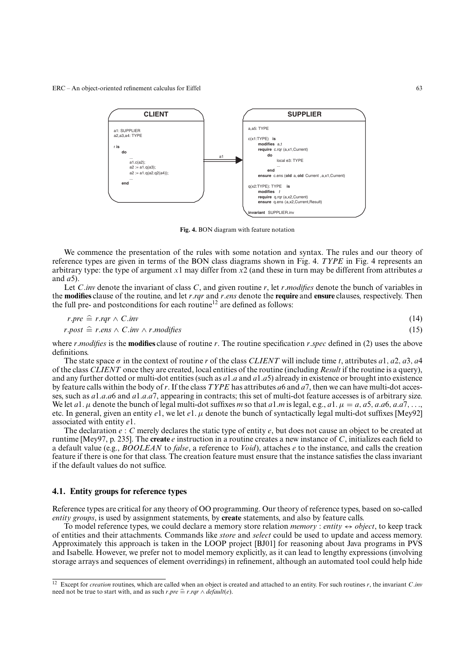

**Fig. 4.** BON diagram with feature notation

We commence the presentation of the rules with some notation and syntax. The rules and our theory of reference types are given in terms of the BON class diagrams shown in Fig. 4. *TYPE* in Fig. 4 represents an arbitrary type: the type of argument *x*1 may differ from *x*2 (and these in turn may be different from attributes *a* and *a*5).

Let *C*.*inv* denote the invariant of class *C*, and given routine *r*, let *r*.*modifies* denote the bunch of variables in the **modifies** clause of the routine, and let *r*.*rqr* and *r*.*ens* denote the **require** and **ensure** clauses, respectively. Then the full pre- and postconditions for each routine<sup>12</sup> are defined as follows:

$$
r.\textit{pre} \,\,\hat{=} \,\, r.\textit{rqr} \,\wedge \, C.\textit{inv} \tag{14}
$$

$$
r\text{.post} \,\,\widehat{=}\,\,r\text{.ens}\,\,\wedge\,\,C\text{.inv}\,\wedge\,\,r\text{.modifies}\tag{15}
$$

where *r*.*modifies* is the **modifies** clause of routine *r*. The routine specification *r*.*spec* defined in (2) uses the above definitions.

The state space  $\sigma$  in the context of routine *r* of the class *CLIENT* will include time *t*, attributes *a*1, *a*2, *a*3, *a*4 of the class *CLIENT* once they are created, local entities of the routine (including *Result* if the routine is a query), and any further dotted or multi-dot entities (such as *a*1.*a* and *a*1.*a*5) already in existence or brought into existence by feature calls within the body of *r*. If the class *TYPE* has attributes *a*6 and *a*7, then we can have multi-dot accesses, such as *a*1.*a*.*a*6 and *a*1.*a*.*a*7, appearing in contracts; this set of multi-dot feature accesses is of arbitrary size. We let  $a_1, \mu$  denote the bunch of legal multi-dot suffixes *m* so that  $a_1$  *m* is legal, e.g.,  $a_1, \mu = a$ ,  $a_2, a_3, a_4, a_5, \ldots$ etc. In general, given an entity  $e1$ , we let  $e1$ .  $\mu$  denote the bunch of syntactically legal multi-dot suffixes [Mey92] associated with entity *e*1.

The declaration *e* : *C* merely declares the static type of entity *e*, but does not cause an object to be created at runtime [Mey97, p. 235]. The **create** *e* instruction in a routine creates a new instance of *C*, initializes each field to a default value (e.g., *BOOLEAN* to *false*, a reference to *Void*), attaches *e* to the instance, and calls the creation feature if there is one for that class. The creation feature must ensure that the instance satisfies the class invariant if the default values do not suffice.

# **4.1. Entity groups for reference types**

Reference types are critical for any theory of OO programming. Our theory of reference types, based on so-called *entity groups*, is used by assignment statements, by **create** statements, and also by feature calls.

To model reference types, we could declare a memory store relation *memory* : *entity*  $\leftrightarrow$  *object*, to keep track of entities and their attachments. Commands like *store* and *select* could be used to update and access memory. Approximately this approach is taken in the LOOP project [BJ01] for reasoning about Java programs in PVS and Isabelle. However, we prefer not to model memory explicitly, as it can lead to lengthy expressions (involving storage arrays and sequences of element overridings) in refinement, although an automated tool could help hide

<sup>&</sup>lt;sup>12</sup> Except for *creation* routines, which are called when an object is created and attached to an entity. For such routines *r*, the invariant *C*.*inv* need not be true to start with, and as such *r*.*pre*  $\cong$  *r.rqr*  $\wedge$  *default*(*e*).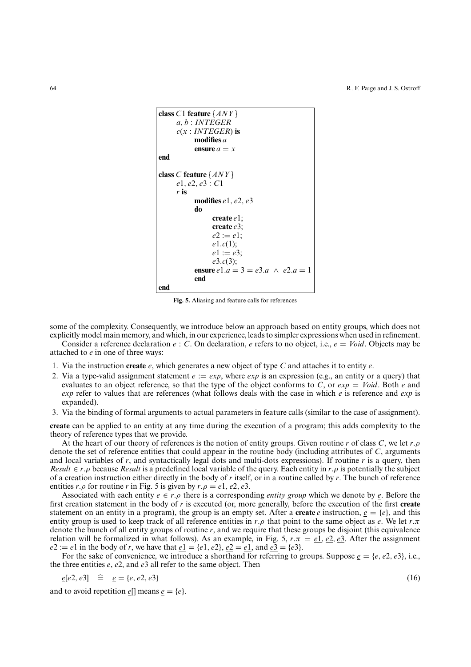```
class C1 feature {ANY}
     a, b : INTEGER
     c(x : INTEGER) is
          modifies a
           ensure a = xend
class C feature {ANY}
     e1, e2, e3 : C1
     r is
           modifies e1, e2, e3
           do
                create e1;
                create e3;
                e2 := e1;e1.c(1);
                e1 := e3;
                e3.c(3);
           ensure e1.a = 3 = e3.a \land e2.a = 1end
end
```
**Fig. 5.** Aliasing and feature calls for references

some of the complexity. Consequently, we introduce below an approach based on entity groups, which does not explicitly model main memory, and which, in our experience, leads to simpler expressions when used in refinement. Consider a reference declaration  $e : C$ . On declaration,  $e$  refers to no object, i.e.,  $e = Void$ . Objects may be

attached to *e* in one of three ways:

- 1. Via the instruction **create** *e*, which generates a new object of type *C* and attaches it to entity *e*.
- 2. Via a type-valid assignment statement  $e := exp$ , where  $exp$  is an expression (e.g., an entity or a query) that evaluates to an object reference, so that the type of the object conforms to *C*, or  $exp = Void$ . Both *e* and *exp* refer to values that are references (what follows deals with the case in which *e* is reference and *exp* is expanded).
- 3. Via the binding of formal arguments to actual parameters in feature calls (similar to the case of assignment).

**create** can be applied to an entity at any time during the execution of a program; this adds complexity to the theory of reference types that we provide.

At the heart of our theory of references is the notion of entity groups. Given routine *r* of class *C*, we let *r*.ρ denote the set of reference entities that could appear in the routine body (including attributes of *C*, arguments and local variables of *r*, and syntactically legal dots and multi-dots expressions). If routine *r* is a query, then *Result*  $\in$  *r*.*ρ* because *Result* is a predefined local variable of the query. Each entity in *r*.*ρ* is potentially the subject of a creation instruction either directly in the body of *r* itself, or in a routine called by *r*. The bunch of reference entities *r*.*ρ* for routine *r* in Fig. 5 is given by  $r.\rho = e1, e2, e3$ .

Associated with each entity  $e \in r \cdot \rho$  there is a corresponding *entity group* which we denote by  $e$ . Before the first creation statement in the body of *r* is executed (or, more generally, before the execution of the first **create** statement on an entity in a program), the group is an empty set. After a **create** *e* instruction,  $e = \{e\}$ , and this entity group is used to keep track of all reference entities in *r*.ρ that point to the same object as *e*. We let *r*.π denote the bunch of all entity groups of routine *r*, and we require that these groups be disjoint (this equivalence relation will be formalized in what follows). As an example, in Fig. 5,  $r.\pi = e1, e2, e3$ . After the assignment *e*2 := *e*1 in the body of *r*, we have that <u>*e*1</u> = {*e*1, *e*2}, <u>*e*2 = *e*1</u>, and *e*3 = {*e*3}.

For the sake of convenience, we introduce a shorthand for referring to groups. Suppose  $e = \{e, e^2, e^3\}$ , i.e., the three entities *e*, *e*2, and *e*3 all refer to the same object. Then

$$
\underline{e}[e2, e3] \quad \widehat{=} \quad \underline{e} = \{e, e2, e3\} \tag{16}
$$

and to avoid repetition  $\epsilon$ [] means  $\epsilon$  = { $\epsilon$ }.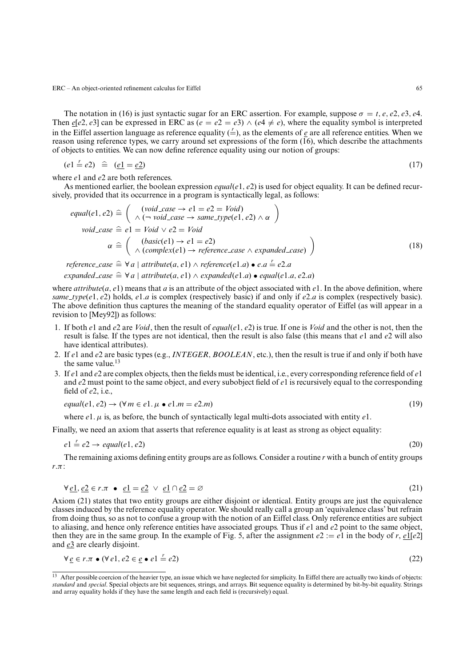The notation in (16) is just syntactic sugar for an ERC assertion. For example, suppose  $\sigma = t$ , *e*, *e*2, *e*3, *e*4. Then *e*[*e*2, *e*3] can be expressed in ERC as  $(e = e^2 = e^3) \wedge (e^4 \neq e)$ , where the equality symbol is interpreted in the Eiffel assertion language as reference equality  $(\frac{r}{r})$ , as the elements of *e* are all reference entities. When we reason using reference types, we carry around set expressions of the form (16), which describe the attachments of objects to entities. We can now define reference equality using our notion of groups:

$$
(e1 \stackrel{r}{=} e2) \stackrel{\sim}{=} (\underline{e1} = \underline{e2}) \tag{17}
$$

where *e*1 and *e*2 are both references.

As mentioned earlier, the boolean expression *equal*(*e*1, *e*2) is used for object equality. It can be defined recursively, provided that its occurrence in a program is syntactically legal, as follows: -

$$
equal(e1, e2) \hat{=} \begin{pmatrix} (void\_case \rightarrow e1 = e2 = Void) \\ \land (\neg \text{ void\_case \rightarrow same\_type}(e1, e2) \land \alpha) \end{pmatrix}
$$
  

$$
void\_case \hat{=} e1 = Void \lor e2 = Void
$$
  

$$
\alpha \hat{=} \begin{pmatrix} (basic(e1) \rightarrow e1 = e2) \\ \land (complex(e1) \rightarrow reference\_case \land expanded\_case) \end{pmatrix}
$$
 (18)

 $f$  *reference\_case*  $\ \hat{=} \ \forall a \ | \ \textit{attribute}(a, e1) \land \textit{reference}(e1.a) \bullet e.a \ \textit{if} \ \textit{e2.a}$  $expanded\_case \cong \forall a \mid attribute(a, e1) \land expanded(a) \bullet equal(e1.a, e2.a)$ 

where  $attribute(a, e1)$  means that *a* is an attribute of the object associated with  $e1$ . In the above definition, where *same type*(*e*1, *e*2) holds, *e*1.*a* is complex (respectively basic) if and only if *e*2.*a* is complex (respectively basic). The above definition thus captures the meaning of the standard equality operator of Eiffel (as will appear in a revision to [Mey92]) as follows:

- 1. If both *e*1 and *e*2 are *Void*, then the result of *equal*(*e*1, *e*2) is true. If one is *Void* and the other is not, then the result is false. If the types are not identical, then the result is also false (this means that *e*1 and *e*2 will also have identical attributes).
- 2. If *e*1 and *e*2 are basic types (e.g., *INTEGER*,*BOOLEAN*, etc.), then the result is true if and only if both have the same value.<sup>13</sup>
- 3. If *e*1 and *e*2 are complex objects, then the fields must be identical, i.e., every corresponding reference field of *e*1 and *e*2 must point to the same object, and every subobject field of *e*1 is recursively equal to the corresponding field of *e*2, i.e.,

$$
equal(e1, e2) \rightarrow (\forall m \in e1. \mu \bullet e1.m = e2.m)
$$
\n
$$
(19)
$$

where  $e_1$ ,  $\mu$  is, as before, the bunch of syntactically legal multi-dots associated with entity  $e_1$ .

Finally, we need an axiom that asserts that reference equality is at least as strong as object equality:

$$
e1 \stackrel{r}{=} e2 \rightarrow equal(e1, e2) \tag{20}
$$

The remaining axioms defining entity groups are as follows. Consider a routine *r* with a bunch of entity groups *r*.π:

$$
\forall \underline{e1}, \underline{e2} \in r.\pi \bullet \underline{e1} = \underline{e2} \lor \underline{e1} \cap \underline{e2} = \varnothing
$$
\n(21)

Axiom (21) states that two entity groups are either disjoint or identical. Entity groups are just the equivalence classes induced by the reference equality operator. We should really call a group an 'equivalence class' but refrain from doing thus, so as not to confuse a group with the notion of an Eiffel class. Only reference entities are subject to aliasing, and hence only reference entities have associated groups. Thus if *e*1 and *e*2 point to the same object, then they are in the same group. In the example of Fig. 5, after the assignment  $e^2 := e^1$  in the body of *r*,  $e^1[e^2]$ and *e*3 are clearly disjoint.

$$
\forall \underline{e} \in r. \pi \bullet (\forall e1, e2 \in \underline{e} \bullet e1 \stackrel{r}{=} e2)
$$
\n
$$
(22)
$$

<sup>&</sup>lt;sup>13</sup> After possible coercion of the heavier type, an issue which we have neglected for simplicity. In Eiffel there are actually two kinds of objects: *standard* and *special*. Special objects are bit sequences, strings, and arrays. Bit sequence equality is determined by bit-by-bit equality. Strings and array equality holds if they have the same length and each field is (recursively) equal.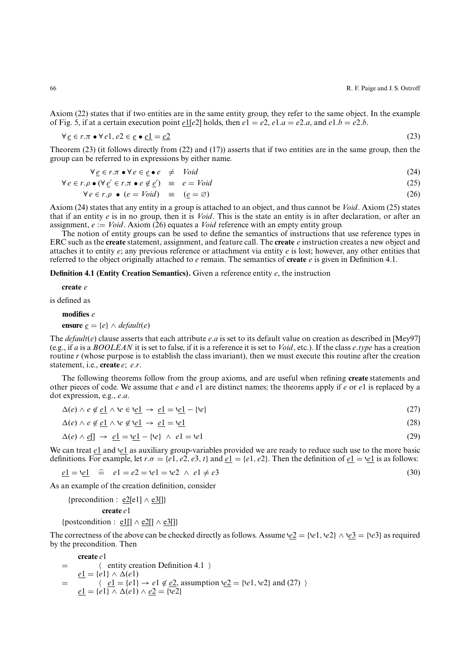Axiom (22) states that if two entities are in the same entity group, they refer to the same object. In the example of Fig. 5, if at a certain execution point  $eI[e2]$  holds, then  $eI = e2$ ,  $e1.a = e2.a$ , and  $e1.b = e2.b$ .

$$
\forall \underline{e} \in r. \pi \bullet \forall e1, e2 \in \underline{e} \bullet \underline{e1} = \underline{e2} \tag{23}
$$

Theorem (23) (it follows directly from (22) and (17)) asserts that if two entities are in the same group, then the group can be referred to in expressions by either name.

$$
\forall \underline{e} \in r. \pi \bullet \forall e \in \underline{e} \bullet e \neq \text{Void} \tag{24}
$$

$$
\forall e \in r. \rho \bullet (\forall \underline{e'} \in r. \pi \bullet e \notin \underline{e'}) \equiv e = \text{Void}
$$
\n(25)

$$
\forall e \in r. \rho \bullet (e = Void) \equiv (e = \varnothing) \tag{26}
$$

Axiom (24) states that any entity in a group is attached to an object, and thus cannot be *Void*. Axiom (25) states that if an entity *e* is in no group, then it is *Void*. This is the state an entity is in after declaration, or after an assignment,  $e := Void$ . Axiom (26) equates a *Void* reference with an empty entity group.

The notion of entity groups can be used to define the semantics of instructions that use reference types in ERC such as the **create** statement, assignment, and feature call. The **create** *e* instruction creates a new object and attaches it to entity *e*; any previous reference or attachment via entity *e* is lost; however, any other entities that referred to the object originally attached to *e* remain. The semantics of **create** *e* is given in Definition 4.1.

## **Definition 4.1 (Entity Creation Semantics).** Given a reference entity *e*, the instruction

**create** *e*

is defined as

#### **modifies** *e*

**ensure**  $\underline{e} = \{e\} \wedge \text{default}(e)$ 

The *default*(*e*) clause asserts that each attribute *e*.*a* is set to its default value on creation as described in [Mey97] (e.g., if *a* is a *BOOLEAN* it is set to false, if it is a reference it is set to *Void*, etc.). If the class *e*.*type* has a creation routine *r* (whose purpose is to establish the class invariant), then we must execute this routine after the creation statement, i.e., **create** *e*; *e*.*r*.

The following theorems follow from the group axioms, and are useful when refining **create** statements and other pieces of code. We assume that *e* and *e*1 are distinct names; the theorems apply if *e* or *e*1 is replaced by a dot expression, e.g., *e*.*a*.

$$
\Delta(e) \wedge e \notin \underline{e1} \wedge \forall e \in \underline{e1} \rightarrow \underline{e1} = \underline{e1} - \{\forall e\} \tag{27}
$$

$$
\Delta(e) \wedge e \notin \underline{e1} \wedge \forall e \notin \underline{e1} \rightarrow \underline{e1} = \underline{e1} \tag{28}
$$

$$
\Delta(e) \wedge e[] \rightarrow e1 = \nu 1 - {\nu} \quad \wedge e1 = \nu 1 \tag{29}
$$

We can treat *e*1 and *vel* as auxiliary group-variables provided we are ready to reduce such use to the more basic definitions. For example, let  $r.\sigma = \{e1, e2, e3, t\}$  and  $e1 = \{e1, e2\}$ . Then the definition of  $e1 = \{e1$  is as follows:

$$
\underline{e1} = \underline{ve1} \quad \hat{=} \quad e1 = e2 = \underline{ve1} = \underline{ve2} \ \land \ e1 \neq e3 \tag{30}
$$

As an example of the creation definition, consider

{precondition : e2[e1]  $\land$  e3[]} **create** *e*1

```
{postcondition : <u>e1</u>[] \land <u>e2</u>[] \land e3[]}
```
**create** *e*1

The correctness of the above can be checked directly as follows. Assume  $\ell_2 = {\ell e1, \ell e2} \wedge \ell_2 = {\ell e3}$  as required by the precondition. Then

$$
= \begin{cases}\n\text{create } e1 \\
\text{entity creation Definition 4.1 }\n\end{cases}
$$
\n
$$
= \frac{e1}{\{e1\} \land \Delta(e1)} \\
= \begin{cases}\n\frac{e1}{\{e1\} - \{e1\} \to e1 \notin e2, \text{ assumption } e2 = \{e1, e2\} \text{ and } (27) }\n\end{cases}
$$
\n
$$
= \frac{e1}{\{e1\} \land \Delta(e1) \land e2} = \{e2\}
$$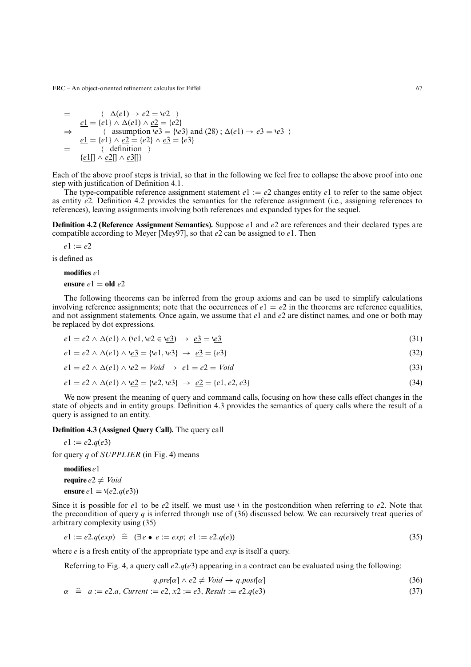$$
\begin{array}{rcl}\n= & \langle & \Delta(e1) \rightarrow e2 = \lambda e2 \rangle \\
& \underline{e1} = \{e1\} \land \Delta(e1) \land \underline{e2} = \{e2\} \\
\Rightarrow & \langle \text{ assumption } \underline{\lambda e3} = \{\lambda e3\} \text{ and } (28) \, ; \, \Delta(e1) \rightarrow e3 = \lambda e3 \rangle \\
& \underline{e1} = \{e1\} \land \underline{e2} = \{e2\} \land \underline{e3} = \{e3\} \\
& \langle \text{ definition } \rangle \\
& \underline{e1[]} \land \underline{e2[]} \land \underline{e3[]} \n\end{array}
$$

Each of the above proof steps is trivial, so that in the following we feel free to collapse the above proof into one step with justification of Definition 4.1.

The type-compatible reference assignment statement  $e_1 := e_2$  changes entity  $e_1$  to refer to the same object as entity *e*2. Definition 4.2 provides the semantics for the reference assignment (i.e., assigning references to references), leaving assignments involving both references and expanded types for the sequel.

**Definition 4.2 (Reference Assignment Semantics).** Suppose *e*1 and *e2* are references and their declared types are compatible according to Meyer [Mey97], so that *e*2 can be assigned to *e*1. Then

 $e1 := e2$ 

is defined as

**modifies** *e*1 **ensure**  $e1 =$ **old**  $e2$ 

The following theorems can be inferred from the group axioms and can be used to simplify calculations involving reference assignments; note that the occurrences of  $e_1 = e_2$  in the theorems are reference equalities, and not assignment statements. Once again, we assume that *e*1 and *e*2 are distinct names, and one or both may be replaced by dot expressions.

$$
e1 = e2 \wedge \Delta(e1) \wedge (ve1, ve2 \in ve3) \rightarrow e3 = ve3 \tag{31}
$$

$$
e1 = e2 \wedge \Delta(e1) \wedge \Delta(\underline{e3}) = \{\text{ve1}, \text{ve3}\} \rightarrow \underline{e3} = \{e3\}
$$
\n
$$
(32)
$$

$$
e1 = e2 \wedge \Delta(e1) \wedge e2 = \text{Void} \rightarrow e1 = e2 = \text{Void}
$$
\n(33)

$$
e1 = e2 \wedge \Delta(e1) \wedge \Delta(e2) = \{\text{e2}, \text{e3}\} \rightarrow e2 = \{e1, e2, e3\}
$$
\n(34)

We now present the meaning of query and command calls, focusing on how these calls effect changes in the state of objects and in entity groups. Definition 4.3 provides the semantics of query calls where the result of a query is assigned to an entity.

#### **Definition 4.3 (Assigned Query Call).** The query call

 $e1 := e2. q(e3)$ 

for query *q* of *SUPPLIER* (in Fig. 4) means

**modifies** *e*1 **require**  $e^2 \neq \text{Void}$ **ensure**  $e1 = \lambda(e2.q(e3))$ 

Since it is possible for *e*1 to be *e*2 itself, we must use  $\iota$  in the postcondition when referring to *e*2. Note that the precondition of query *q* is inferred through use of (36) discussed below. We can recursively treat queries of arbitrary complexity using (35)

$$
e1 := e2.q(exp) \quad \widehat{=} \quad (\exists e \bullet e := exp; \ e1 := e2.q(e)) \tag{35}
$$

where *e* is a fresh entity of the appropriate type and *exp* is itself a query.

Referring to Fig. 4, a query call *e*2.*q*(*e*3) appearing in a contract can be evaluated using the following:

$$
q.\text{pre}[\alpha] \land e2 \neq \text{Void} \rightarrow q.\text{post}[\alpha] \tag{36}
$$

$$
\alpha \cong a := e2.a
$$
, Current :=  $e2$ ,  $x2 := e3$ , Result :=  $e2.q(e3)$  (37)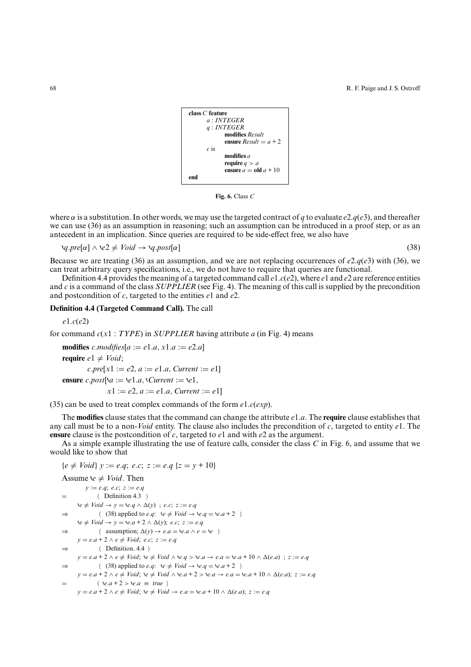

**Fig. 6.** Class *C*

where α is a substitution. In other words, we may use the targeted contract of *q* to evaluate *e*2.*q*(*e*3), and thereafter we can use (36) as an assumption in reasoning; such an assumption can be introduced in a proof step, or as an antecedent in an implication. Since queries are required to be side-effect free, we also have

$$
\forall q. pre[\alpha] \land \forall e2 \neq \text{Void} \rightarrow \forall q. post[\alpha]
$$
\n(38)

Because we are treating (36) as an assumption, and we are not replacing occurrences of *e*2.*q*(*e*3) with (36), we can treat arbitrary query specifications, i.e., we do not have to require that queries are functional.

Definition 4.4 provides the meaning of a targeted command call *e*1.*c*(*e*2), where *e*1 and *e*2 are reference entities and *c* is a command of the class *SUPPLIER* (see Fig. 4). The meaning of this call is supplied by the precondition and postcondition of *c*, targeted to the entities *e*1 and *e*2.

# **Definition 4.4 (Targeted Command Call).** The call

*e*1.*c*(*e*2)

for command *c*(*x*1 : *TYPE*) in *SUPPLIER* having attribute *a* (in Fig. 4) means

**modifies** *c*.*modifies*[ $a := e1.a, x1.a := e2.a$ ] **require**  $e1 \neq Void$ ;  $c. pre[x] := e^2, a := e^1.a, Current := e^1$ **ensure**  $c.\textit{post}[\text{a} := \text{e}1.a, \text{V}Current := \text{e}1,$  $x1 := e2, a := e1.a,$  *Current* := e1]

(35) can be used to treat complex commands of the form *e*1.*c*(*exp*).

The **modifies** clause states that the command can change the attribute *e*1.*a*. The **require** clause establishes that any call must be to a non-*Void* entity. The clause also includes the precondition of *c*, targeted to entity *e*1. The **ensure** clause is the postcondition of *c*, targeted to *e*1 and with *e*2 as the argument.

As a simple example illustrating the use of feature calls, consider the class *C* in Fig. 6, and assume that we would like to show that

$$
\{e \neq \text{Void}\}\ y := e.q; \ e.c; \ z := e.q \ \{z = y + 10\}
$$

Assume  $ve \neq \textit{Void}$ . Then

```
y := e.q; e.c; z := e.q\langle Definition 4.3 \rangle\lambda e \neq \text{Void} \rightarrow y = \lambda e \cdot q \land \Delta(y); e.c; z := e.q\Rightarrow (38) applied to e.q: \vee e \neq \text{Void} \rightarrow \vee e. q = \vee e. a + 2)
         \lambda e \neq \text{Void} \rightarrow y = \lambda e.a + 2 \land \Delta(y); \text{ } e.c; \text{ } z := e.q\Rightarrow \langle assumption; \Delta(y) \rightarrow e.a = \forall e.a \land e = \forall e \rangley = e.a + 2 \land e \neq \text{Void}; e.c; z := e.q⇒  Definition. 4.4 
         y = e.a + 2 \wedge e \neq Void; \forall e \neq Void \wedge \forall e.q > \forall e.a \rightarrow e.a = \forall e.a + 10 \wedge \Delta(e.a); z := e.q\Rightarrow (38) applied to e.q: \vee e \neq \text{Void} \rightarrow \vee e.q = \vee e.a + 2)
         y = e.a + 2 \wedge e \neq Void; \forall e \neq Void \wedge \forall e.a + 2 > \forall e.a \rightarrow e.a = \forall e.a + 10 \wedge \Delta(e.a); z := e.q= \langle \text{ve}.a + 2 > \text{ve}.a \equiv \text{true} \rangley = e.a + 2 \land e \neq \text{Void}; \forall e \neq \text{Void} \rightarrow e.a = \forall e.a + 10 \land \Delta(e.a); z := e.q
```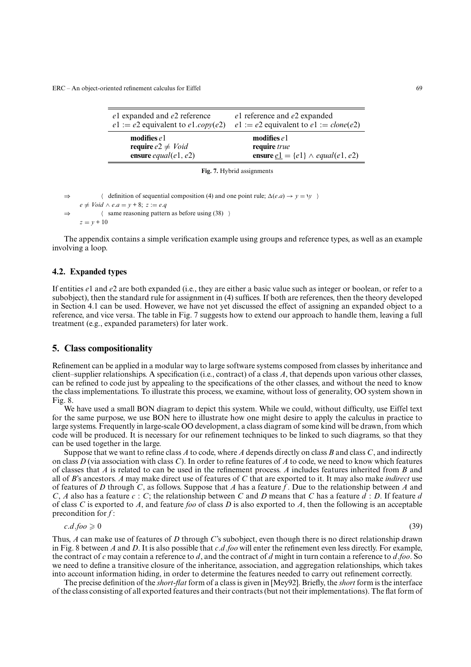| el expanded and e2 reference           | e1 reference and e2 expanded               |
|----------------------------------------|--------------------------------------------|
| $e1 := e2$ equivalent to $e1.copy(e2)$ | $e1 := e2$ equivalent to $e1 := clone(e2)$ |
| modifies $e1$                          | modifies $e1$                              |
| require $e2 \neq Void$                 | require true                               |
| ensure equal(e1, e2)                   | ensure $e1 = \{e1\} \wedge equal(e1, e2)$  |

|  |  | <b>Fig. 7.</b> Hybrid assignments |  |
|--|--|-----------------------------------|--|
|  |  |                                   |  |
|  |  |                                   |  |
|  |  |                                   |  |

```
\Rightarrow ( definition of sequential composition (4) and one point rule; \Delta(e.a) \rightarrow y = ye \neq Void \land e.a = y + 8; z := e.a\Rightarrow (same reasoning pattern as before using (38))
     z = y + 10
```
The appendix contains a simple verification example using groups and reference types, as well as an example involving a loop.

#### **4.2. Expanded types**

If entities *e*1 and *e*2 are both expanded (i.e., they are either a basic value such as integer or boolean, or refer to a subobject), then the standard rule for assignment in (4) suffices. If both are references, then the theory developed in Section 4.1 can be used. However, we have not yet discussed the effect of assigning an expanded object to a reference, and vice versa. The table in Fig. 7 suggests how to extend our approach to handle them, leaving a full treatment (e.g., expanded parameters) for later work.

# **5. Class compositionality**

Refinement can be applied in a modular way to large software systems composed from classes by inheritance and client–supplier relationships. A specification (i.e., contract) of a class *A*, that depends upon various other classes, can be refined to code just by appealing to the specifications of the other classes, and without the need to know the class implementations. To illustrate this process, we examine, without loss of generality, OO system shown in Fig. 8.

We have used a small BON diagram to depict this system. While we could, without difficulty, use Eiffel text for the same purpose, we use BON here to illustrate how one might desire to apply the calculus in practice to large systems. Frequently in large-scale OO development, a class diagram of some kind will be drawn, from which code will be produced. It is necessary for our refinement techniques to be linked to such diagrams, so that they can be used together in the large.

Suppose that we want to refine class *A* to code, where *A* depends directly on class *B* and class *C*, and indirectly on class *D* (via association with class *C*). In order to refine features of *A* to code, we need to know which features of classes that *A* is related to can be used in the refinement process. *A* includes features inherited from *B* and all of *B*'s ancestors. *A* may make direct use of features of *C* that are exported to it. It may also make *indirect* use of features of *D* through *C*, as follows. Suppose that *A* has a feature *f* . Due to the relationship between *A* and *C*, *A* also has a feature  $c : C$ ; the relationship between *C* and *D* means that *C* has a feature  $d : D$ . If feature  $d$ of class *C* is exported to *A*, and feature *foo* of class *D* is also exported to *A*, then the following is an acceptable precondition for *f* :

$$
c.d. \text{foo} \geqslant 0 \tag{39}
$$

Thus, *A* can make use of features of *D* through *C*'s subobject, even though there is no direct relationship drawn in Fig. 8 between *A* and *D*. It is also possible that *c*.*d*.*foo* will enter the refinement even less directly. For example, the contract of *c* may contain a reference to *d*, and the contract of *d* might in turn contain a reference to *d*.*foo*. So we need to define a transitive closure of the inheritance, association, and aggregation relationships, which takes into account information hiding, in order to determine the features needed to carry out refinement correctly.

The precise definition of the *short-flat* form of a class is given in [Mey92]. Briefly, the *short* form is the interface of the class consisting of all exported features and their contracts (but not their implementations). The flat form of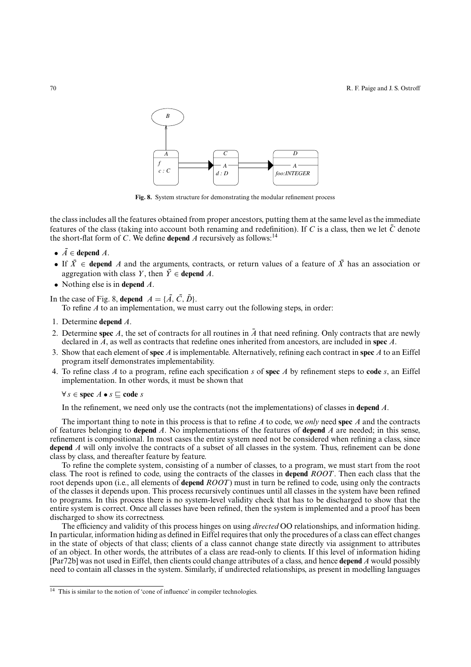

**Fig. 8.** System structure for demonstrating the modular refinement process

the class includes all the features obtained from proper ancestors, putting them at the same level as the immediate features of the class (taking into account both renaming and redefinition). If C is a class, then we let  $\bar{C}$  denote the short-flat form of C. We define **depend** A recursively as follows:<sup>14</sup>

- $\overline{A} \in$  **depend**  $\overline{A}$ .
- If  $\bar{X} \in$  **depend** *A* and the arguments, contracts, or return values of a feature of  $\bar{X}$  has an association or aggregation with class *Y*, then  $\overline{Y} \in$  **depend** *A*.
- Nothing else is in **depend** *A*.

In the case of Fig. 8, **depend**  $A = \{\overline{A}, \overline{C}, \overline{D}\}.$ 

To refine *A* to an implementation, we must carry out the following steps, in order:

- 1. Determine **depend** *A*.
- 2. Determine spec A, the set of contracts for all routines in  $\overline{A}$  that need refining. Only contracts that are newly declared in *A*, as well as contracts that redefine ones inherited from ancestors, are included in **spec** *A*.
- 3. Show that each element of **spec** *A* is implementable. Alternatively, refining each contract in **spec** *A* to an Eiffel program itself demonstrates implementability.
- 4. To refine class *A* to a program, refine each specification *s* of **spec** *A* by refinement steps to **code** *s*, an Eiffel implementation. In other words, it must be shown that

 $∀ s ∈ spec A ∘ s ⊆ code s$ 

In the refinement, we need only use the contracts (not the implementations) of classes in **depend** *A*.

The important thing to note in this process is that to refine *A* to code, we *only* need **spec** *A* and the contracts of features belonging to **depend** *A*. No implementations of the features of **depend** *A* are needed; in this sense, refinement is compositional. In most cases the entire system need not be considered when refining a class, since **depend** *A* will only involve the contracts of a subset of all classes in the system. Thus, refinement can be done class by class, and thereafter feature by feature.

To refine the complete system, consisting of a number of classes, to a program, we must start from the root class. The root is refined to code, using the contracts of the classes in **depend** *ROOT*. Then each class that the root depends upon (i.e., all elements of **depend** *ROOT*) must in turn be refined to code, using only the contracts of the classes it depends upon. This process recursively continues until all classes in the system have been refined to programs. In this process there is no system-level validity check that has to be discharged to show that the entire system is correct. Once all classes have been refined, then the system is implemented and a proof has been discharged to show its correctness.

The efficiency and validity of this process hinges on using *directed* OO relationships, and information hiding. In particular, information hiding as defined in Eiffel requires that only the procedures of a class can effect changes in the state of objects of that class; clients of a class cannot change state directly via assignment to attributes of an object. In other words, the attributes of a class are read-only to clients. If this level of information hiding [Par72b] was not used in Eiffel, then clients could change attributes of a class, and hence **depend** *A* would possibly need to contain all classes in the system. Similarly, if undirected relationships, as present in modelling languages

 $\frac{14}{14}$  This is similar to the notion of 'cone of influence' in compiler technologies.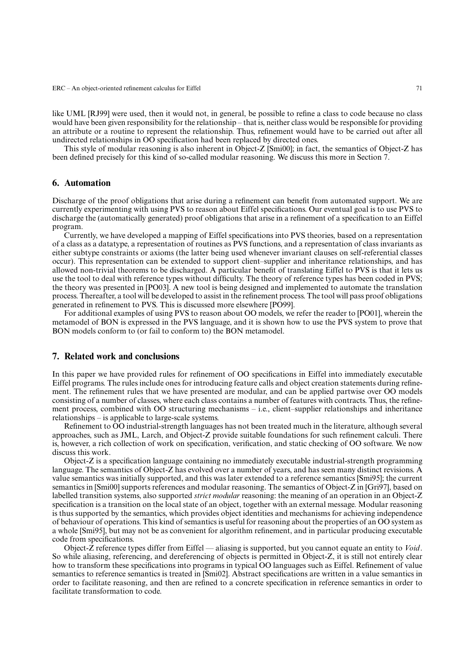like UML [RJ99] were used, then it would not, in general, be possible to refine a class to code because no class would have been given responsibility for the relationship – that is, neither class would be responsible for providing an attribute or a routine to represent the relationship. Thus, refinement would have to be carried out after all undirected relationships in OO specification had been replaced by directed ones.

This style of modular reasoning is also inherent in Object-Z [Smi00]; in fact, the semantics of Object-Z has been defined precisely for this kind of so-called modular reasoning. We discuss this more in Section 7.

# **6. Automation**

Discharge of the proof obligations that arise during a refinement can benefit from automated support. We are currently experimenting with using PVS to reason about Eiffel specifications. Our eventual goal is to use PVS to discharge the (automatically generated) proof obligations that arise in a refinement of a specification to an Eiffel program.

Currently, we have developed a mapping of Eiffel specifications into PVS theories, based on a representation of a class as a datatype, a representation of routines as PVS functions, and a representation of class invariants as either subtype constraints or axioms (the latter being used whenever invariant clauses on self-referential classes occur). This representation can be extended to support client–supplier and inheritance relationships, and has allowed non-trivial theorems to be discharged. A particular benefit of translating Eiffel to PVS is that it lets us use the tool to deal with reference types without difficulty. The theory of reference types has been coded in PVS; the theory was presented in [PO03]. A new tool is being designed and implemented to automate the translation process. Thereafter, a tool will be developed to assist in the refinement process. The tool will pass proof obligations generated in refinement to PVS. This is discussed more elsewhere [PO99].

For additional examples of using PVS to reason about OO models, we refer the reader to [PO01], wherein the metamodel of BON is expressed in the PVS language, and it is shown how to use the PVS system to prove that BON models conform to (or fail to conform to) the BON metamodel.

#### **7. Related work and conclusions**

In this paper we have provided rules for refinement of OO specifications in Eiffel into immediately executable Eiffel programs. The rules include ones for introducing feature calls and object creation statements during refinement. The refinement rules that we have presented are modular, and can be applied partwise over OO models consisting of a number of classes, where each class contains a number of features with contracts. Thus, the refinement process, combined with OO structuring mechanisms – i.e., client–supplier relationships and inheritance relationships – is applicable to large-scale systems.

Refinement to OO industrial-strength languages has not been treated much in the literature, although several approaches, such as JML, Larch, and Object-Z provide suitable foundations for such refinement calculi. There is, however, a rich collection of work on specification, verification, and static checking of OO software. We now discuss this work.

Object-Z is a specification language containing no immediately executable industrial-strength programming language. The semantics of Object-Z has evolved over a number of years, and has seen many distinct revisions. A value semantics was initially supported, and this was later extended to a reference semantics [Smi95]; the current semantics in [Smi00] supports references and modular reasoning. The semantics of Object-Z in [Gri97], based on labelled transition systems, also supported *strict modular* reasoning: the meaning of an operation in an Object-Z specification is a transition on the local state of an object, together with an external message. Modular reasoning is thus supported by the semantics, which provides object identities and mechanisms for achieving independence of behaviour of operations. This kind of semantics is useful for reasoning about the properties of an OO system as a whole [Smi95], but may not be as convenient for algorithm refinement, and in particular producing executable code from specifications.

Object-Z reference types differ from Eiffel — aliasing is supported, but you cannot equate an entity to *Void*. So while aliasing, referencing, and dereferencing of objects is permitted in Object-Z, it is still not entirely clear how to transform these specifications into programs in typical OO languages such as Eiffel. Refinement of value semantics to reference semantics is treated in [Smi02]. Abstract specifications are written in a value semantics in order to facilitate reasoning, and then are refined to a concrete specification in reference semantics in order to facilitate transformation to code.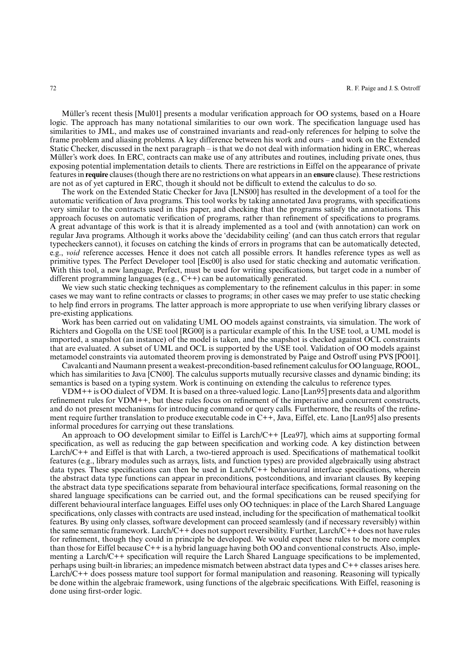Müller's recent thesis [Mul01] presents a modular verification approach for OO systems, based on a Hoare logic. The approach has many notational similarities to our own work. The specification language used has similarities to JML, and makes use of constrained invariants and read-only references for helping to solve the frame problem and aliasing problems. A key difference between his work and ours – and work on the Extended Static Checker, discussed in the next paragraph – is that we do not deal with information hiding in ERC, whereas Müller's work does. In ERC, contracts can make use of any attributes and routines, including private ones, thus exposing potential implementation details to clients. There are restrictions in Eiffel on the appearance of private features in **require** clauses (though there are no restrictions on what appears in an **ensure** clause). These restrictions are not as of yet captured in ERC, though it should not be difficult to extend the calculus to do so.

The work on the Extended Static Checker for Java [LNS00] has resulted in the development of a tool for the automatic verification of Java programs. This tool works by taking annotated Java programs, with specifications very similar to the contracts used in this paper, and checking that the programs satisfy the annotations. This approach focuses on automatic verification of programs, rather than refinement of specifications to programs. A great advantage of this work is that it is already implemented as a tool and (with annotation) can work on regular Java programs. Although it works above the 'decidability ceiling' (and can thus catch errors that regular typecheckers cannot), it focuses on catching the kinds of errors in programs that can be automatically detected, e.g., *void* reference accesses. Hence it does not catch all possible errors. It handles reference types as well as primitive types. The Perfect Developer tool [Esc00] is also used for static checking and automatic verification. With this tool, a new language, Perfect, must be used for writing specifications, but target code in a number of different programming languages (e.g.,  $C++$ ) can be automatically generated.

We view such static checking techniques as complementary to the refinement calculus in this paper: in some cases we may want to refine contracts or classes to programs; in other cases we may prefer to use static checking to help find errors in programs. The latter approach is more appropriate to use when verifying library classes or pre-existing applications.

Work has been carried out on validating UML OO models against constraints, via simulation. The work of Richters and Gogolla on the USE tool [RG00] is a particular example of this. In the USE tool, a UML model is imported, a snapshot (an instance) of the model is taken, and the snapshot is checked against OCL constraints that are evaluated. A subset of UML and OCL is supported by the USE tool. Validation of OO models against metamodel constraints via automated theorem proving is demonstrated by Paige and Ostroff using PVS [PO01].

Cavalcanti and Naumann present a weakest-precondition-based refinement calculus for OO language, ROOL, which has similarities to Java [CN00]. The calculus supports mutually recursive classes and dynamic binding; its semantics is based on a typing system. Work is continuing on extending the calculus to reference types.

VDM++ is OO dialect of VDM. It is based on a three-valued logic. Lano [Lan95] presents data and algorithm refinement rules for VDM++, but these rules focus on refinement of the imperative and concurrent constructs, and do not present mechanisms for introducing command or query calls. Furthermore, the results of the refinement require further translation to produce executable code in C++, Java, Eiffel, etc. Lano [Lan95] also presents informal procedures for carrying out these translations.

An approach to OO development similar to Eiffel is Larch/C++ [Lea97], which aims at supporting formal specification, as well as reducing the gap between specification and working code. A key distinction between Larch/C++ and Eiffel is that with Larch, a two-tiered approach is used. Specifications of mathematical toolkit features (e.g., library modules such as arrays, lists, and function types) are provided algebraically using abstract data types. These specifications can then be used in Larch/C++ behavioural interface specifications, wherein the abstract data type functions can appear in preconditions, postconditions, and invariant clauses. By keeping the abstract data type specifications separate from behavioural interface specifications, formal reasoning on the shared language specifications can be carried out, and the formal specifications can be reused specifying for different behavioural interface languages. Eiffel uses only OO techniques: in place of the Larch Shared Language specifications, only classes with contracts are used instead, including for the specification of mathematical toolkit features. By using only classes, software development can proceed seamlessly (and if necessary reversibly) within the same semantic framework. Larch/C++ does not support reversibility. Further, Larch/C++ does not have rules for refinement, though they could in principle be developed. We would expect these rules to be more complex than those for Eiffel because C++ is a hybrid language having both OO and conventional constructs. Also, implementing a Larch/C++ specification will require the Larch Shared Language specifications to be implemented, perhaps using built-in libraries; an impedence mismatch between abstract data types and C++ classes arises here. Larch/C++ does possess mature tool support for formal manipulation and reasoning. Reasoning will typically be done within the algebraic framework, using functions of the algebraic specifications. With Eiffel, reasoning is done using first-order logic.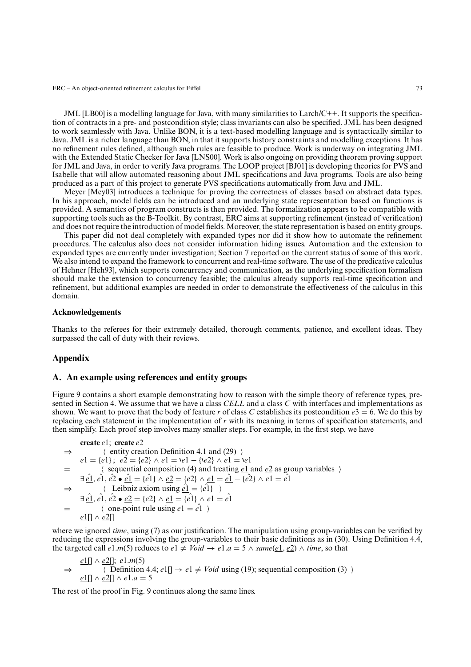JML [LB00] is a modelling language for Java, with many similarities to Larch/C++. It supports the specification of contracts in a pre- and postcondition style; class invariants can also be specified. JML has been designed to work seamlessly with Java. Unlike BON, it is a text-based modelling language and is syntactically similar to Java. JML is a richer language than BON, in that it supports history constraints and modelling exceptions. It has no refinement rules defined, although such rules are feasible to produce. Work is underway on integrating JML with the Extended Static Checker for Java [LNS00]. Work is also ongoing on providing theorem proving support for JML and Java, in order to verify Java programs. The LOOP project [BJ01] is developing theories for PVS and Isabelle that will allow automated reasoning about JML specifications and Java programs. Tools are also being produced as a part of this project to generate PVS specifications automatically from Java and JML.

Meyer [Mey03] introduces a technique for proving the correctness of classes based on abstract data types. In his approach, model fields can be introduced and an underlying state representation based on functions is provided. A semantics of program constructs is then provided. The formalization appears to be compatible with supporting tools such as the B-Toolkit. By contrast, ERC aims at supporting refinement (instead of verification) and does not require the introduction of model fields. Moreover, the state representation is based on entity groups.

This paper did not deal completely with expanded types nor did it show how to automate the refinement procedures. The calculus also does not consider information hiding issues. Automation and the extension to expanded types are currently under investigation; Section 7 reported on the current status of some of this work. We also intend to expand the framework to concurrent and real-time software. The use of the predicative calculus of Hehner [Heh93], which supports concurrency and communication, as the underlying specification formalism should make the extension to concurrency feasible; the calculus already supports real-time specification and refinement, but additional examples are needed in order to demonstrate the effectiveness of the calculus in this domain.

# **Acknowledgements**

Thanks to the referees for their extremely detailed, thorough comments, patience, and excellent ideas. They surpassed the call of duty with their reviews.

## **Appendix**

## **A. An example using references and entity groups**

Figure 9 contains a short example demonstrating how to reason with the simple theory of reference types, presented in Section 4. We assume that we have a class *CELL* and a class *C* with interfaces and implementations as shown. We want to prove that the body of feature *r* of class *C* establishes its postcondition  $e3 = 6$ . We do this by replacing each statement in the implementation of *r* with its meaning in terms of specification statements, and then simplify. Each proof step involves many smaller steps. For example, in the first step, we have

create *e*1; create *e*2  
\n
$$
\Rightarrow \quad \langle \text{ entity creation Definition 4.1 and (29)} \rangle
$$
\n
$$
\underline{e1} = \{e1\}; \underline{e2} = \{e2\} \land \underline{e1} = \{e1 - \{e2\} \land e1 = \{e1\}}\n= \frac{3\hat{e1}}{e1}, \hat{e1}, \hat{e2} \bullet \underline{e1} = \{\hat{e1}\} \land \underline{e2} = \{e2\} \land \underline{e1} = \hat{e1} - \{\hat{e2}\} \land e1 = \hat{e1}
$$
\n
$$
\Rightarrow \quad \langle \text{ Leibniz axiom using } \underline{e1} = \{\hat{e1}\} \rangle
$$
\n
$$
\exists \underline{e1}, \hat{e1}, \hat{e2} \bullet \underline{e2} = \{e2\} \land \underline{e1} = \{\hat{e1}\} \rangle
$$
\n
$$
\exists \underline{e1}, \hat{e1}, \hat{e2} \bullet \underline{e2} = \{e2\} \land \underline{e1} = \{\hat{e1}\} \land e1 = \hat{e1}
$$
\n
$$
\Rightarrow \quad \langle \text{ one-point rule using } e1 = \hat{e1} \rangle
$$

where we ignored *time*, using (7) as our justification. The manipulation using group-variables can be verified by reducing the expressions involving the group-variables to their basic definitions as in (30). Using Definition 4.4, the targeted call *e*1.*m*(5) reduces to *e*1  $\neq$  *Void*  $\rightarrow$  *e*1.*a* = 5  $\land$  *same*(*e*1, *e*2)  $\land$  *time*, so that

$$
\Rightarrow \frac{e1[] \land e2[]; e1.m(5)}{ } \Rightarrow \frac{e1[] \land e2[]; e1.m(5)}{ } \Rightarrow e1 \neq \text{\ } \neq \text{\ } \text{void using (19); sequential composition (3) }\}
$$

The rest of the proof in Fig. 9 continues along the same lines.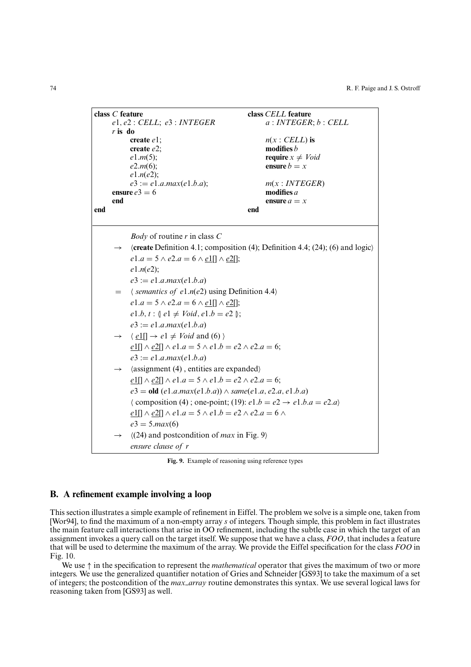**class** *C* **feature**<br>  $e1, e2$ : *CELL*;  $e3$ : *INTEGER*<br>  $a$ : *INTEGER*;  $b$ : *CELL e*1, *e*2 : *CELL*; *e*3 : *INTEGER a* : *INTEGER*; *b* : *CELL r* **is do create**  $e1$ ;  $n(x : CELL)$  **is create** *e*2; **modifies** *b*  $e1.m(5)$ ; **require**  $x \neq \text{Void}$  $e^{2}$ *m*(6); **ensure** *b* = *x e*1.*n*(*e*2);  $e^3 := e^1 \cdot a \cdot max(e^1 \cdot b \cdot a);$  *m(x : INTEGER)* **ensure**  $e^3 = 6$  **modifies** *a* **end** ensure  $a = x$ **end end** *Body* of routine *r* in class *C*  $\langle$ **create** Definition 4.1; composition (4); Definition 4.4; (24); (6) and logic $\rangle$ *e*1.*a* = 5 ∧ *e*2.*a* = 6 ∧ <u>*e*1</u>[] ∧ *e*2[]; *e*1.*n*(*e*2);  $e^3 := e^1.a.max(e^1.b.a)$  $=$   $\langle$  *semantics of e*1.*n*(*e*2) using Definition 4.4)  $e1.a = 5 \land e2.a = 6 \land e1 \mid \land e2 \mid \}$ ;  $e1.b, t : \emptyset e1 \neq \text{Void}, e1.b = e2 \, \,$  $e^3 := e^1.a.max(e^1.b.a)$  $\rightarrow \langle e1[] \rightarrow e1 \neq \textit{Void}$  and (6)  $\rangle$  $e1[] \wedge e2[] \wedge e1.a = 5 \wedge e1.b = e2 \wedge e2.a = 6;$  $e^3 := e^1.a.max(e^1.b.a)$  $\rightarrow$  (assignment (4), entities are expanded)  $e1[] \wedge e2[] \wedge e1.a = 5 \wedge e1.b = e2 \wedge e2.a = 6;$  $e^3 = \text{old}(e^1.a \cdot max(e^1.b.a)) \wedge same(e^1.a, e^2.a, e^1.b.a)$  $\langle$  composition (4); one-point; (19):  $e1.b = e2 \rightarrow e1.b.a = e2.a$ *e*<sup>1</sup>[] ∧ *e*<sup>2</sup>[] ∧ *e*1.*a* = 5 ∧ *e*1.*b* = *e*2 ∧ *e*2.*a* = 6 ∧  $e^3 = 5 \cdot max(6)$  $\langle$ (24) and postcondition of *max* in Fig. 9) *ensure clause of r*

**Fig. 9.** Example of reasoning using reference types

# **B. A refinement example involving a loop**

This section illustrates a simple example of refinement in Eiffel. The problem we solve is a simple one, taken from [Wor94], to find the maximum of a non-empty array *s* of integers. Though simple, this problem in fact illustrates the main feature call interactions that arise in OO refinement, including the subtle case in which the target of an assignment invokes a query call on the target itself. We suppose that we have a class, *FOO*, that includes a feature that will be used to determine the maximum of the array. We provide the Eiffel specification for the class *FOO* in Fig. 10.

We use ↑ in the specification to represent the *mathematical* operator that gives the maximum of two or more integers. We use the generalized quantifier notation of Gries and Schneider [GS93] to take the maximum of a set of integers; the postcondition of the *max array* routine demonstrates this syntax. We use several logical laws for reasoning taken from [GS93] as well.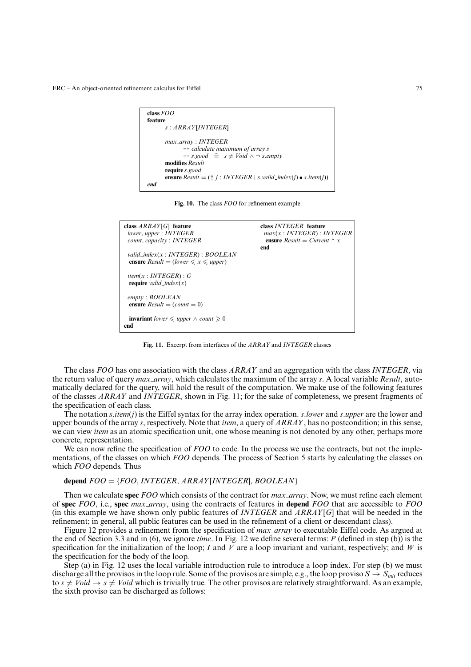```
class FOO
feature
        s : ARRAY[INTEGER]
        max array : INTEGER
                 -- calculate maximum of array s
                 - s.good \hat{=} s \neq \text{Void} \land \neg \text{ } s.empty
        modifies Result
        require s.good
        ensure Result = (\uparrow j : INTEGR \mid s. \text{valid\_index}(j) \bullet s. \text{item}(j))end
```
**Fig. 10.** The class *FOO* for refinement example

```
class ARRAY[G] feature class INTEGER feature
lower, upper : INTEGER max(x : INTEGER) : INTEGER
count, capacity : INTEGER ensure Result = Current \uparrow xend
 valid index(x : INTEGER) : BOOLEAN
 ensure Result = (lower \leq x \leq upper)item(x : INTEGER) : G
 require valid_index(x)
empty : BOOLEAN
 ensure Result = (count = 0)invariant lower \leq upper \land count \geq 0end
```
**Fig. 11.** Excerpt from interfaces of the *ARRAY* and *INTEGER* classes

The class *FOO* has one association with the class *ARRAY* and an aggregation with the class *INTEGER*, via the return value of query *max array*, which calculates the maximum of the array *s*. A local variable *Result*, automatically declared for the query, will hold the result of the computation. We make use of the following features of the classes *ARRAY* and *INTEGER*, shown in Fig. 11; for the sake of completeness, we present fragments of the specification of each class.

The notation *s*.*item*(*j*) is the Eiffel syntax for the array index operation. *s*.*lower* and *s*.*upper* are the lower and upper bounds of the array *s*, respectively. Note that *item*, a query of *ARRAY*, has no postcondition; in this sense, we can view *item* as an atomic specification unit, one whose meaning is not denoted by any other, perhaps more concrete, representation.

We can now refine the specification of *FOO* to code. In the process we use the contracts, but not the implementations, of the classes on which *FOO* depends. The process of Section 5 starts by calculating the classes on which *FOO* depends. Thus

#### **depend** *FOO* {*FOO*,*INTEGER*, *ARRAY*[*INTEGER*],*BOOLEAN*}

Then we calculate **spec** *FOO* which consists of the contract for *max array*. Now, we must refine each element of **spec** *FOO*, i.e., **spec** *max array*, using the contracts of features in **depend** *FOO* that are accessible to *FOO* (in this example we have shown only public features of *INTEGER* and *ARRAY*[*G*] that will be needed in the refinement; in general, all public features can be used in the refinement of a client or descendant class).

Figure 12 provides a refinement from the specification of *max array* to executable Eiffel code. As argued at the end of Section 3.3 and in (6), we ignore *time*. In Fig. 12 we define several terms: *P* (defined in step (b)) is the specification for the initialization of the loop; *I* and *V* are a loop invariant and variant, respectively; and *W* is the specification for the body of the loop.

Step (a) in Fig. 12 uses the local variable introduction rule to introduce a loop index. For step (b) we must discharge all the provisos in the loop rule. Some of the provisos are simple, e.g., the loop proviso  $S \to S_{init}$  reduces to  $s \neq$  *Void*  $\rightarrow$  *s*  $\neq$  *Void* which is trivially true. The other provisos are relatively straightforward. As an example, the sixth proviso can be discharged as follows: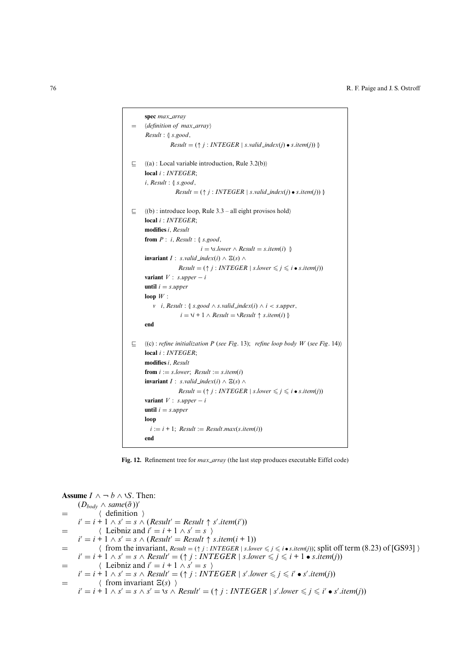```
spec max array
 definition of max array
      Result : | s.good,
                 Result = (\uparrow i : INTEGR \mid s, valid\_index(i) \bullet s, item(i))\subseteq ((a) : Local variable introduction, Rule 3.2(b))
      local i : INTEGER;
      i, Result : | s.good,
                   Result = (\uparrow j : INTEGR \mid s.value\_index(j) \bullet s.time(j))\subseteq ((b) : introduce loop, Rule 3.3 – all eight provisos hold)
      local i : INTEGER;
      modifiesi, Result
      from P : i, Result : | s.good,
                               i = \text{ls}.lower \land Result = s.item(i) \landinvariant I : s.valid _index(i) \land \Xi(s) \landResult = (\uparrow j : INTEGR \mid s.lower \leq j \leq i \cdot s.time(j))variant V : s.upper − i
      until i = s.\text{upper}loop W :
         v i, Result : \{ s. good ∧ s. valid_index(i) ∧ i < s. upper,i = \forall i + 1 \land Result = \forall Result \uparrow s.time(i)end
\subseteq \langle(c) : refine initialization P (see Fig. 13); refine loop body W (see Fig. 14))
      local i : INTEGER;
      modifiesi, Result
      from i := s.lower; Result := s.item(i)
      invariant I : s.valid_index(i) \wedge \Xi(s) \wedgeResult = (\uparrow j : INTEGR \mid s.lower \leq j \leq i \cdot s.time(j))variant V : s.upper − i
      until i = s.\text{upper}loop
        i := i + 1; Result := Result.max(s.item(i))
      end
```
**Fig. 12.** Refinement tree for *max array* (the last step produces executable Eiffel code)

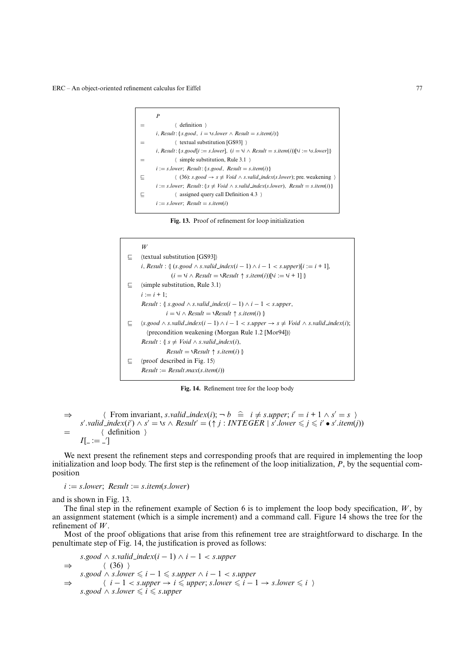|   | P                                                                                                                                 |
|---|-----------------------------------------------------------------------------------------------------------------------------------|
|   | $definition \rangle$                                                                                                              |
|   | i, Result: $\{s.google, i = \s, lower \land Result = s.items(i)\}\$                                                               |
|   | (textual substitution [GS93])                                                                                                     |
|   | <i>i</i> , Result: $\{s.google$ $ i := s.lower\}$ , $(i = \forall i \land Result = s.time(i))$ $[\forall i := \forall s.lower]\}$ |
|   | $\langle$ simple substitution, Rule 3.1 $\rangle$                                                                                 |
|   | $i := s.lower$ ; Result: $\{s.google, Result = s.items(i)\}$                                                                      |
| ┶ | $(36)$ : s.good $\rightarrow$ s $\neq$ Void $\land$ s.valid_index(s.lower); pre. weakening $\land$                                |
|   | $i := s.lower$ ; Result: $\{s \neq Void \land s.value\_index(s.lower)$ , Result = s.item(i) $\}$                                  |
| ╘ | $\langle$ assigned query call Definition 4.3 $\rangle$                                                                            |
|   | $i := s.lower$ ; Result = s.item(i)                                                                                               |

**Fig. 13.** Proof of refinement for loop initialization

```
W
\subseteq (textual substitution [GS93])
     i, Result : \{ (s.google ∆ s.value\_index(i - 1) ∧ i - 1 < s.append[i := i + 1],(i = \forall i \land Result = \forall Result \uparrow s.time(i))[i := \forall i + 1]\subseteq (simple substitution, Rule 3.1)
      i := i + 1;
      Result : \int s.good \land s.valid_index(i − 1) \land i − 1 < s.upper,
                 i = \forall i \land Result = \forall Result \uparrow s. item(i) s.good ∧ s.valid index(i − 1) ∧ i − 1 < s.upper → s 	 Void ∧ s.valid index(i);
        precondition weakening (Morgan Rule 1.2 [Mor94])
      Result: \{ s \neq Void \land s.value\_index(i) \}Result = \text{N}esult \uparrow s.item(i) \uparrow\Box (proof described in Fig. 15)
      Result := Result.max(s.item(i))
```
**Fig. 14.** Refinement tree for the loop body

 $\Rightarrow$   $\langle$  From invariant, *s.valid\_index(i)*;  $\neg b \cong i \neq s$ *.upper*;  $i' = i + 1 \land s' = s$  $s'$ .*valid\_index*(*i'*)  $\land$   $s' = \text{vs } \land$  *Result'*  $= (\uparrow j : INTEGR \mid s'.lower \leq j \leq i' \bullet s'.item(j))$  $=$   $\langle$  definition  $\rangle$  $I[\_ := \_']$ 

We next present the refinement steps and corresponding proofs that are required in implementing the loop initialization and loop body. The first step is the refinement of the loop initialization, *P*, by the sequential composition

 $i := s$ .*lower*;  $Result := s$ .*item*(*s*.*lower*)

and is shown in Fig. 13.

The final step in the refinement example of Section 6 is to implement the loop body specification, *W*, by an assignment statement (which is a simple increment) and a command call. Figure 14 shows the tree for the refinement of *W*.

Most of the proof obligations that arise from this refinement tree are straightforward to discharge. In the penultimate step of Fig. 14, the justification is proved as follows:

$$
\Rightarrow \quad \langle (36) \rangle
$$
\n
$$
\Rightarrow \quad \langle (36) \rangle
$$
\n
$$
\Rightarrow \quad \langle (36) \rangle
$$
\n
$$
s.good \land s.lower \leq i-1 \leq s.upper \land i-1 < s.upper
$$
\n
$$
\Rightarrow \quad \langle i-1 < s.upper \to i \leq upper, s.lower \leq i-1 \to s.lower \leq i \rangle
$$
\n
$$
s.good \land s.lower \leq i \leq s.upper
$$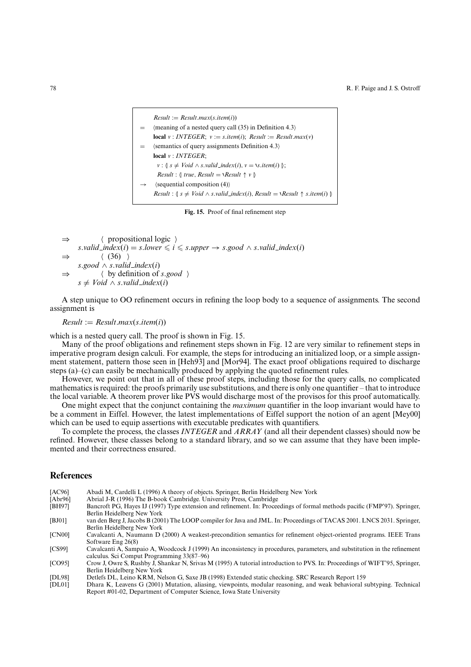| $Result := Result.max(s.items(m(i))$                                                                                                 |
|--------------------------------------------------------------------------------------------------------------------------------------|
| (meaning of a nested query call $(35)$ in Definition 4.3)                                                                            |
| <b>local</b> $v: INTEGR$ ; $v := s$ .item(i); Result := Result.max(v)                                                                |
| $\langle$ semantics of query assignments Definition 4.3 $\rangle$                                                                    |
| local $v: INTEGR$ :                                                                                                                  |
| $v : \{ s \neq \text{Void} \land s \text{.} \text{valid\_index}(i), v = \text{vs.} \text{item}(i) \}$ ;                              |
| <i>Result</i> : $\langle \text{true}, \text{Result} = \text{Result} \uparrow \nu \rangle$                                            |
| $\langle$ sequential composition $(4)$ $\rangle$                                                                                     |
| Result : $\langle s \neq V \text{oid} \wedge s \rangle$ . valid_index(i), Result = \Result $\uparrow s$ .item(i) $\langle s \rangle$ |

**Fig. 15.** Proof of final refinement step

```
\Rightarrow \langle propositional logic \rangles.valid_index(i) = s.lower ≤ i ≤ s.upper → s.good ∧ s.valid_index(i)
\Rightarrow (36) \rangles.good ∧ s.valid_index(i)
⇒  by definition of s.good 
     s \neq Void \land s.valid_index(i)
```
A step unique to OO refinement occurs in refining the loop body to a sequence of assignments. The second assignment is

#### $Result := Result.max(s.item(i))$

which is a nested query call. The proof is shown in Fig. 15.

Many of the proof obligations and refinement steps shown in Fig. 12 are very similar to refinement steps in imperative program design calculi. For example, the steps for introducing an initialized loop, or a simple assignment statement, pattern those seen in [Heh93] and [Mor94]. The exact proof obligations required to discharge steps  $(a)$ –(c) can easily be mechanically produced by applying the quoted refinement rules.

However, we point out that in all of these proof steps, including those for the query calls, no complicated mathematics is required: the proofs primarily use substitutions, and there is only one quantifier – that to introduce the local variable. A theorem prover like PVS would discharge most of the provisos for this proof automatically.

One might expect that the conjunct containing the *maximum* quantifier in the loop invariant would have to be a comment in Eiffel. However, the latest implementations of Eiffel support the notion of an agent [Mey00] which can be used to equip assertions with executable predicates with quantifiers.

To complete the process, the classes *INTEGER* and *ARRAY* (and all their dependent classes) should now be refined. However, these classes belong to a standard library, and so we can assume that they have been implemented and their correctness ensured.

# **References**

- [AC96] Abadi M, Cardelli L (1996) A theory of objects. Springer, Berlin Heidelberg New York<br>[Abr96] Abrial J-R (1996) The B-book Cambridge. University Press, Cambridge
- Abrial J-R (1996) The B-book Cambridge. University Press, Cambridge
- [BH97] Bancroft PG, Hayes IJ (1997) Type extension and refinement. In: Proceedings of formal methods pacific (FMP'97). Springer, Berlin Heidelberg New York
- [BJ01] van den Berg J, Jacobs B (2001) The LOOP compiler for Java and JML. In: Proceedings of TACAS 2001. LNCS 2031. Springer, Berlin Heidelberg New York
- [CN00] Cavalcanti A, Naumann D (2000) A weakest-precondition semantics for refinement object-oriented programs. IEEE Trans Software Eng 26(8)

[CS99] Cavalcanti A, Sampaio A, Woodcock J (1999) An inconsistency in procedures, parameters, and substitution in the refinement calculus. Sci Comput Programming 33(87–96)

- [CO95] Crow J, Owre S, Rushby J, Shankar N, Srivas M (1995) A tutorial introduction to PVS. In: Proceedings of WIFT'95, Springer, Berlin Heidelberg New York
- [DL98] Detlefs DL, Leino KRM, Nelson G, Saxe JB (1998) Extended static checking. SRC Research Report 159
- Dhara K, Leavens G (2001) Mutation, aliasing, viewpoints, modular reasoning, and weak behavioral subtyping. Technical Report #01-02, Department of Computer Science, Iowa State University